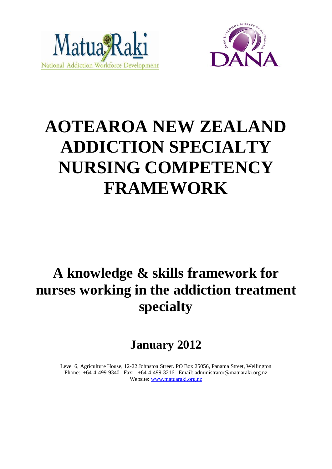



# **AOTEAROA NEW ZEALAND ADDICTION SPECIALTY NURSING COMPETENCY FRAMEWORK**

## **A knowledge & skills framework for nurses working in the addiction treatment specialty**

## **January 2012**

Level 6, Agriculture House, 12-22 Johnston Street. PO Box 25056, Panama Street, Wellington Phone: +64-4-499-9340. Fax: +64-4-499-3216. Email: administrator@matuaraki.org.nz Website[: www.matuaraki.org.nz](http://www.matuaraki.org.nz/)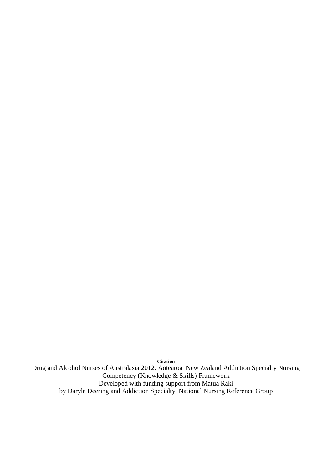**Citation**

Drug and Alcohol Nurses of Australasia 2012. Aotearoa New Zealand Addiction Specialty Nursing Competency (Knowledge & Skills) Framework Developed with funding support from Matua Raki by Daryle Deering and Addiction Specialty National Nursing Reference Group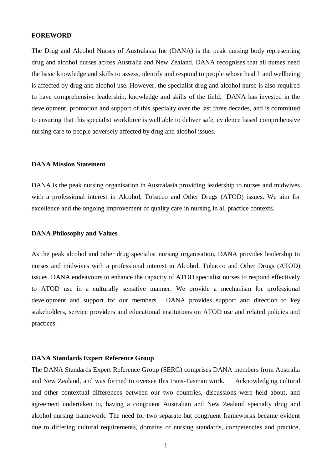#### **FOREWORD**

The Drug and Alcohol Nurses of Australasia Inc (DANA) is the peak nursing body representing drug and alcohol nurses across Australia and New Zealand. DANA recognises that all nurses need the basic knowledge and skills to assess, identify and respond to people whose health and wellbeing is affected by drug and alcohol use. However, the specialist drug and alcohol nurse is also required to have comprehensive leadership, knowledge and skills of the field. DANA has invested in the development, promotion and support of this specialty over the last three decades, and is committed to ensuring that this specialist workforce is well able to deliver safe, evidence based comprehensive nursing care to people adversely affected by drug and alcohol issues.

#### **DANA Mission Statement**

DANA is the peak nursing organisation in Australasia providing leadership to nurses and midwives with a professional interest in Alcohol, Tobacco and Other Drugs (ATOD) issues. We aim for excellence and the ongoing improvement of quality care in nursing in all practice contexts.

#### **DANA Philosophy and Values**

As the peak alcohol and other drug specialist nursing organisation, DANA provides leadership to nurses and midwives with a professional interest in Alcohol, Tobacco and Other Drugs (ATOD) issues. DANA endeavours to enhance the capacity of ATOD specialist nurses to respond effectively to ATOD use in a culturally sensitive manner. We provide a mechanism for professional development and support for our members. DANA provides support and direction to key stakeholders, service providers and educational institutions on ATOD use and related policies and practices.

#### **DANA Standards Expert Reference Group**

The DANA Standards Expert Reference Group (SERG) comprises DANA members from Australia and New Zealand, and was formed to oversee this trans-Tasman work. Acknowledging cultural and other contextual differences between our two countries, discussions were held about, and agreement undertaken to, having a congruent Australian and New Zealand specialty drug and alcohol nursing framework. The need for two separate but congruent frameworks became evident due to differing cultural requirements, domains of nursing standards, competencies and practice,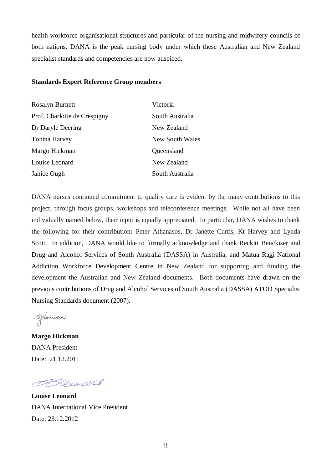health workforce organisational structures and particular of the nursing and midwifery councils of both nations. DANA is the peak nursing body under which these Australian and New Zealand specialist standards and competencies are now auspiced.

#### **Standards Expert Reference Group members**

| <b>Rosalyn Burnett</b>       | Victoria        |
|------------------------------|-----------------|
| Prof. Charlotte de Crespigny | South Australia |
| Dr Daryle Deering            | New Zealand     |
| Tonina Harvey                | New South Wales |
| Margo Hickman                | Queensland      |
| Louise Leonard               | New Zealand     |
| Janice Ough                  | South Australia |

DANA nurses continued commitment to quality care is evident by the many contributions to this project, through focus groups, workshops and teleconference meetings. While not all have been individually named below, their input is equally appreciated. In particular, DANA wishes to thank the following for their contribution: Peter Athanasos, Dr Janette Curtis, Kt Harvey and Lynda Scott. In addition, DANA would like to formally acknowledge and thank Reckitt Benckiser and Drug and Alcohol Services of South Australia (DASSA) in Australia, and Matua Raki National Addiction Workforce Development Centre in New Zealand for supporting and funding the development the Australian and New Zealand documents. Both documents have drawn on the previous contributions of Drug and Alcohol Services of South Australia (DASSA) ATOD Specialist Nursing Standards document (2007).

replierman

**Margo Hickman** DANA President Date: 21.12.2011

Report

**Louise Leonard** DANA International Vice President Date: 23.12.2012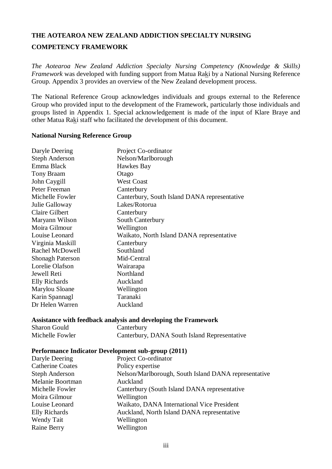## **THE AOTEAROA NEW ZEALAND ADDICTION SPECIALTY NURSING**

#### **COMPETENCY FRAMEWORK**

*The Aotearoa New Zealand Addiction Specialty Nursing Competency (Knowledge & Skills) Framework* was developed with funding support from Matua Raki by a National Nursing Reference Group. Appendix 3 provides an overview of the New Zealand development process.

The National Reference Group acknowledges individuals and groups external to the Reference Group who provided input to the development of the Framework, particularly those individuals and groups listed in Appendix 1. Special acknowledgement is made of the input of Klare Braye and other Matua Raki staff who facilitated the development of this document.

#### **National Nursing Reference Group**

| Daryle Deering          | Project Co-ordinator                         |
|-------------------------|----------------------------------------------|
| <b>Steph Anderson</b>   | Nelson/Marlborough                           |
| Emma Black              | Hawkes Bay                                   |
| <b>Tony Braam</b>       | Otago                                        |
| John Caygill            | <b>West Coast</b>                            |
| Peter Freeman           | Canterbury                                   |
| Michelle Fowler         | Canterbury, South Island DANA representative |
| Julie Galloway          | Lakes/Rotorua                                |
| <b>Claire Gilbert</b>   | Canterbury                                   |
| Maryann Wilson          | South Canterbury                             |
| Moira Gilmour           | Wellington                                   |
| Louise Leonard          | Waikato, North Island DANA representative    |
| Virginia Maskill        | Canterbury                                   |
| Rachel McDowell         | Southland                                    |
| <b>Shonagh Paterson</b> | Mid-Central                                  |
| Lorelie Olafson         | Wairarapa                                    |
| Jewell Reti             | Northland                                    |
| Elly Richards           | Auckland                                     |
| Marylou Sloane          | Wellington                                   |
| Karin Spannagl          | Taranaki                                     |
| Dr Helen Warren         | Auckland                                     |
|                         |                                              |

#### **Assistance with feedback analysis and developing the Framework**

| <b>Sharon Gould</b> | Canterbury                                   |
|---------------------|----------------------------------------------|
| Michelle Fowler     | Canterbury, DANA South Island Representative |

#### **Performance Indicator Development sub-group (2011)**

| Daryle Deering          | Project Co-ordinator                                 |
|-------------------------|------------------------------------------------------|
| <b>Catherine Coates</b> | Policy expertise                                     |
| <b>Steph Anderson</b>   | Nelson/Marlborough, South Island DANA representative |
| Melanie Boortman        | Auckland                                             |
| Michelle Fowler         | Canterbury (South Island DANA representative         |
| Moira Gilmour           | Wellington                                           |
| Louise Leonard          | Waikato, DANA International Vice President           |
| <b>Elly Richards</b>    | Auckland, North Island DANA representative           |
| Wendy Tait              | Wellington                                           |
| Raine Berry             | Wellington                                           |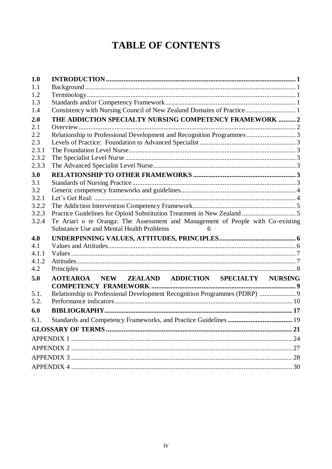## **TABLE OF CONTENTS**

| 1.0   |                                                                                                                                         |  |  |  |  |  |  |  |  |  |
|-------|-----------------------------------------------------------------------------------------------------------------------------------------|--|--|--|--|--|--|--|--|--|
| 1.1   |                                                                                                                                         |  |  |  |  |  |  |  |  |  |
| 1.2   |                                                                                                                                         |  |  |  |  |  |  |  |  |  |
| 1.3   |                                                                                                                                         |  |  |  |  |  |  |  |  |  |
| 1.4   | Consistency with Nursing Council of New Zealand Domains of Practice 1                                                                   |  |  |  |  |  |  |  |  |  |
| 2.0   | THE ADDICTION SPECIALTY NURSING COMPETENCY FRAMEWORK  2                                                                                 |  |  |  |  |  |  |  |  |  |
| 2.1   |                                                                                                                                         |  |  |  |  |  |  |  |  |  |
| 2.2   | Relationship to Professional Development and Recognition Programmes  3                                                                  |  |  |  |  |  |  |  |  |  |
| 2.3   |                                                                                                                                         |  |  |  |  |  |  |  |  |  |
| 2.3.1 |                                                                                                                                         |  |  |  |  |  |  |  |  |  |
| 2.3.2 |                                                                                                                                         |  |  |  |  |  |  |  |  |  |
| 2.3.3 |                                                                                                                                         |  |  |  |  |  |  |  |  |  |
| 3.0   |                                                                                                                                         |  |  |  |  |  |  |  |  |  |
| 3.1   |                                                                                                                                         |  |  |  |  |  |  |  |  |  |
| 3.2   |                                                                                                                                         |  |  |  |  |  |  |  |  |  |
| 3.2.1 |                                                                                                                                         |  |  |  |  |  |  |  |  |  |
| 3.2.2 |                                                                                                                                         |  |  |  |  |  |  |  |  |  |
| 3.2.3 |                                                                                                                                         |  |  |  |  |  |  |  |  |  |
| 3.2.4 | Te Ariari o te Oranga: The Assessment and Management of People with Co-existing<br><b>Substance Use and Mental Health Problems</b><br>6 |  |  |  |  |  |  |  |  |  |
| 4.0   |                                                                                                                                         |  |  |  |  |  |  |  |  |  |
| 4.1   |                                                                                                                                         |  |  |  |  |  |  |  |  |  |
| 4.1.1 |                                                                                                                                         |  |  |  |  |  |  |  |  |  |
| 4.1.2 |                                                                                                                                         |  |  |  |  |  |  |  |  |  |
| 4.2   |                                                                                                                                         |  |  |  |  |  |  |  |  |  |
| 5.0   | AOTEAROA NEW ZEALAND ADDICTION SPECIALTY NURSING                                                                                        |  |  |  |  |  |  |  |  |  |
| 5.1.  | Relationship to Professional Development Recognition Programmes (PDRP)  9                                                               |  |  |  |  |  |  |  |  |  |
| 5.2.  |                                                                                                                                         |  |  |  |  |  |  |  |  |  |
| 6.0   |                                                                                                                                         |  |  |  |  |  |  |  |  |  |
| 6.1.  |                                                                                                                                         |  |  |  |  |  |  |  |  |  |
|       |                                                                                                                                         |  |  |  |  |  |  |  |  |  |
|       |                                                                                                                                         |  |  |  |  |  |  |  |  |  |
|       |                                                                                                                                         |  |  |  |  |  |  |  |  |  |
|       |                                                                                                                                         |  |  |  |  |  |  |  |  |  |
|       |                                                                                                                                         |  |  |  |  |  |  |  |  |  |
|       |                                                                                                                                         |  |  |  |  |  |  |  |  |  |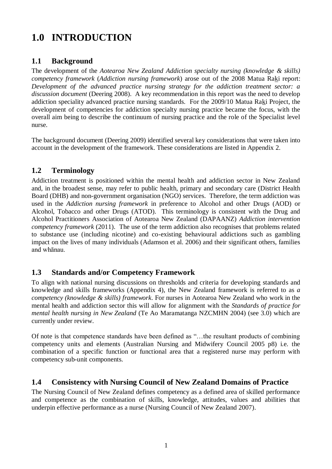## <span id="page-6-0"></span>**1.0 INTRODUCTION**

#### <span id="page-6-1"></span>**1.1 Background**

The development of the *Aotearoa New Zealand Addiction specialty nursing (knowledge & skills) competency framework* (*Addiction nursing framework*) arose out of the 2008 Matua Raki report: *Development of the advanced practice nursing strategy for the addiction treatment sector: a discussion document* (Deering 2008). A key recommendation in this report was the need to develop addiction speciality advanced practice nursing standards. For the 2009/10 Matua Raki Project, the development of competencies for addiction specialty nursing practice became the focus, with the overall aim being to describe the continuum of nursing practice and the role of the Specialist level nurse.

The background document (Deering 2009) identified several key considerations that were taken into account in the development of the framework. These considerations are listed in Appendix 2.

#### <span id="page-6-2"></span>**1.2 Terminology**

Addiction treatment is positioned within the mental health and addiction sector in New Zealand and, in the broadest sense, may refer to public health, primary and secondary care (District Health Board (DHB) and non-government organisation (NGO) services. Therefore, the term addiction was used in the *Addiction nursing framework* in preference to Alcohol and other Drugs (AOD) or Alcohol, Tobacco and other Drugs (ATOD). This terminology is consistent with the Drug and Alcohol Practitioners Association of Aotearoa New Zealand (DAPAANZ) *Addiction intervention competency framework* (2011). The use of the term addiction also recognises that problems related to substance use (including nicotine) and co-existing behavioural addictions such as gambling impact on the lives of many individuals (Adamson et al. 2006) and their significant others, families and whānau.

#### <span id="page-6-3"></span>**1.3 Standards and/or Competency Framework**

To align with national nursing discussions on thresholds and criteria for developing standards and knowledge and skills frameworks (Appendix 4), the New Zealand framework is referred to as *a competency (knowledge & skills) framework*. For nurses in Aotearoa New Zealand who work in the mental health and addiction sector this will allow for alignment with the *Standards of practice for mental health nursing in New Zealand* (Te Ao Maramatanga NZCMHN 2004) (see 3.0) which are currently under review.

Of note is that competence standards have been defined as "…the resultant products of combining competency units and elements (Australian Nursing and Midwifery Council 2005 p8) i.e. the combination of a specific function or functional area that a registered nurse may perform with competency sub-unit components.

#### <span id="page-6-4"></span>**1.4 Consistency with Nursing Council of New Zealand Domains of Practice**

The Nursing Council of New Zealand defines competency as a defined area of skilled performance and competence as the combination of skills, knowledge, attitudes, values and abilities that underpin effective performance as a nurse (Nursing Council of New Zealand 2007).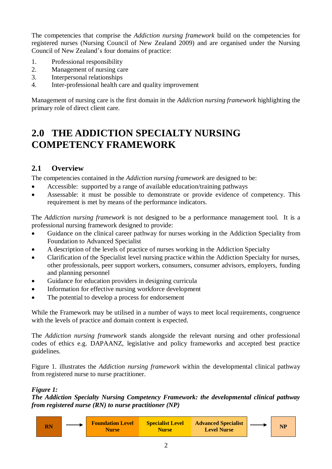The competencies that comprise the *Addiction nursing framework* build on the competencies for registered nurses (Nursing Council of New Zealand 2009) and are organised under the Nursing Council of New Zealand's four domains of practice:

- 1. Professional responsibility
- 2. Management of nursing care
- 3. Interpersonal relationships
- 4. Inter-professional health care and quality improvement

Management of nursing care is the first domain in the *Addiction nursing framework* highlighting the primary role of direct client care.

## <span id="page-7-0"></span>**2.0 THE ADDICTION SPECIALTY NURSING COMPETENCY FRAMEWORK**

#### <span id="page-7-1"></span>**2.1 Overview**

The competencies contained in the *Addiction nursing framework* are designed to be:

- Accessible: supported by a range of available education/training pathways
- Assessable: it must be possible to demonstrate or provide evidence of competency. This requirement is met by means of the performance indicators.

The *Addiction nursing framework* is not designed to be a performance management tool. It is a professional nursing framework designed to provide:

- Guidance on the clinical career pathway for nurses working in the Addiction Speciality from Foundation to Advanced Specialist
- A description of the levels of practice of nurses working in the Addiction Specialty
- Clarification of the Specialist level nursing practice within the Addiction Specialty for nurses, other professionals, peer support workers, consumers, consumer advisors, employers, funding and planning personnel
- Guidance for education providers in designing curricula
- Information for effective nursing workforce development
- The potential to develop a process for endorsement

While the Framework may be utilised in a number of ways to meet local requirements, congruence with the levels of practice and domain content is expected.

The *Addiction nursing framework* stands alongside the relevant nursing and other professional codes of ethics e.g. DAPAANZ, legislative and policy frameworks and accepted best practice guidelines.

Figure 1. illustrates the *Addiction nursing framework* within the developmental clinical pathway from registered nurse to nurse practitioner.

#### *Figure 1:*

*The Addiction Specialty Nursing Competency Framework: the developmental clinical pathway from registered nurse (RN) to nurse practitioner (NP)*

|  |  | <b>Foundation Level</b><br><b>Nurse</b> | <b>Specialist Level</b><br><b>Nurse</b> | <b>Advanced Specialist</b><br><b>Level Nurse</b> |  | <b>NP</b> |
|--|--|-----------------------------------------|-----------------------------------------|--------------------------------------------------|--|-----------|
|--|--|-----------------------------------------|-----------------------------------------|--------------------------------------------------|--|-----------|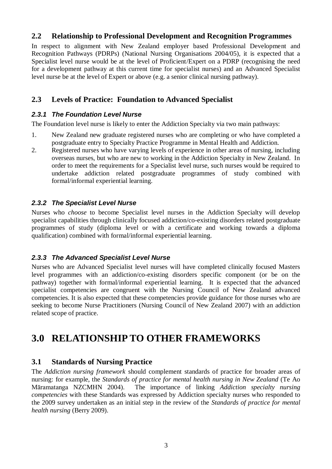#### <span id="page-8-0"></span>**2.2 Relationship to Professional Development and Recognition Programmes**

In respect to alignment with New Zealand employer based Professional Development and Recognition Pathways (PDRPs) (National Nursing Organisations 2004/05), it is expected that a Specialist level nurse would be at the level of Proficient/Expert on a PDRP (recognising the need for a development pathway at this current time for specialist nurses) and an Advanced Specialist level nurse be at the level of Expert or above (e.g. a senior clinical nursing pathway).

#### <span id="page-8-1"></span>**2.3 Levels of Practice: Foundation to Advanced Specialist**

#### <span id="page-8-2"></span>*2.3.1 The Foundation Level Nurse*

The Foundation level nurse is likely to enter the Addiction Specialty via two main pathways:

- 1. New Zealand new graduate registered nurses who are completing or who have completed a postgraduate entry to Specialty Practice Programme in Mental Health and Addiction.
- 2. Registered nurses who have varying levels of experience in other areas of nursing, including overseas nurses, but who are new to working in the Addiction Specialty in New Zealand. In order to meet the requirements for a Specialist level nurse, such nurses would be required to undertake addiction related postgraduate programmes of study combined with formal/informal experiential learning.

#### <span id="page-8-3"></span>*2.3.2 The Specialist Level Nurse*

Nurses who *choose* to become Specialist level nurses in the Addiction Specialty will develop specialist capabilities through clinically focused addiction/co-existing disorders related postgraduate programmes of study (diploma level or with a certificate and working towards a diploma qualification) combined with formal/informal experiential learning.

#### <span id="page-8-4"></span>*2.3.3 The Advanced Specialist Level Nurse*

Nurses who are Advanced Specialist level nurses will have completed clinically focused Masters level programmes with an addiction/co-existing disorders specific component (or be on the pathway) together with formal/informal experiential learning. It is expected that the advanced specialist competencies are congruent with the Nursing Council of New Zealand advanced competencies. It is also expected that these competencies provide guidance for those nurses who are seeking to become Nurse Practitioners (Nursing Council of New Zealand 2007) with an addiction related scope of practice.

### <span id="page-8-5"></span>**3.0 RELATIONSHIP TO OTHER FRAMEWORKS**

#### <span id="page-8-6"></span>**3.1 Standards of Nursing Practice**

The *Addiction nursing framework* should complement standards of practice for broader areas of nursing: for example, the *Standards of practice for mental health nursing in New Zealand* (Te Ao Māramatanga NZCMHN 2004). The importance of linking *Addiction specialty nursing competencies* with these Standards was expressed by Addiction specialty nurses who responded to the 2009 survey undertaken as an initial step in the review of the *Standards of practice for mental health nursing* (Berry 2009).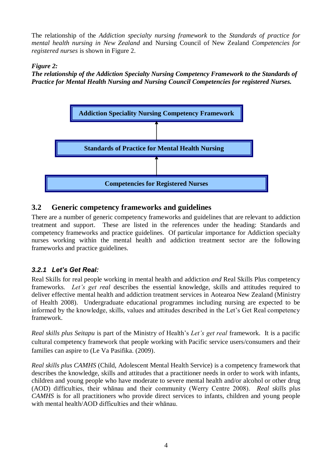The relationship of the *Addiction specialty nursing framework* to the *Standards of practice for mental health nursing in New Zealand* and Nursing Council of New Zealand *Competencies for registered nurses* is shown in Figure 2.

#### *Figure 2:*

*The relationship of the Addiction Specialty Nursing Competency Framework to the Standards of Practice for Mental Health Nursing and Nursing Council Competencies for registered Nurses.*



#### <span id="page-9-0"></span>**3.2 Generic competency frameworks and guidelines**

There are a number of generic competency frameworks and guidelines that are relevant to addiction treatment and support. These are listed in the references under the heading: Standards and competency frameworks and practice guidelines. Of particular importance for Addiction specialty nurses working within the mental health and addiction treatment sector are the following frameworks and practice guidelines.

#### <span id="page-9-1"></span>*3.2.1 Let's Get Real:*

Real Skills for real people working in mental health and addiction *and* Real Skills Plus competency frameworks*. Let's get real* describes the essential knowledge, skills and attitudes required to deliver effective mental health and addiction treatment services in Aotearoa New Zealand (Ministry of Health 2008). Undergraduate educational programmes including nursing are expected to be informed by the knowledge, skills, values and attitudes described in the Let's Get Real competency framework.

*Real skills plus Seitapu* is part of the Ministry of Health's *Let's get real* framework. It is a pacific cultural competency framework that people working with Pacific service users/consumers and their families can aspire to (Le Va Pasifika. (2009).

*Real skills plus CAMHS* (Child, Adolescent Mental Health Service) is a competency framework that describes the knowledge, skills and attitudes that a practitioner needs in order to work with infants, children and young people who have moderate to severe mental health and/or alcohol or other drug (AOD) difficulties, their whānau and their community (Werry Centre 2008). *Real skills* p*lus CAMHS* is for all practitioners who provide direct services to infants, children and young people with mental health/AOD difficulties and their whānau.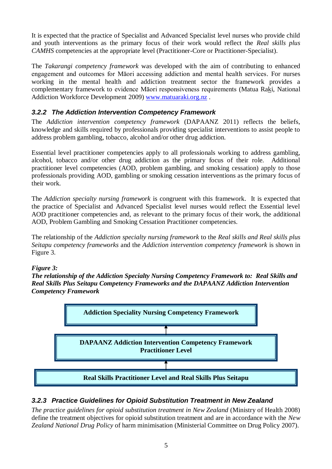It is expected that the practice of Specialist and Advanced Specialist level nurses who provide child and youth interventions as the primary focus of their work would reflect the *Real skills plus CAMHS* competencies at the appropriate level (Practitioner-Core or Practitioner-Specialist).

The *Takarangi competency framework* was developed with the aim of contributing to enhanced engagement and outcomes for Māori accessing addiction and mental health services. For nurses working in the mental health and addiction treatment sector the framework provides a complementary framework to evidence Māori responsiveness requirements (Matua Raki, National Addiction Workforce Development 2009) [www.matuaraki.org.nz](http://www.matuaraki.org.nz/) .

#### <span id="page-10-0"></span>*3.2.2 The Addiction Intervention Competency Framework*

The *Addiction intervention competency framework* (DAPAANZ 2011) reflects the beliefs, knowledge and skills required by professionals providing specialist interventions to assist people to address problem gambling, tobacco, alcohol and/or other drug addiction.

Essential level practitioner competencies apply to all professionals working to address gambling, alcohol, tobacco and/or other drug addiction as the primary focus of their role. Additional practitioner level competencies (AOD, problem gambling, and smoking cessation) apply to those professionals providing AOD, gambling or smoking cessation interventions as the primary focus of their work.

The *Addiction specialty nursing framework* is congruent with this framework. It is expected that the practice of Specialist and Advanced Specialist level nurses would reflect the Essential level AOD practitioner competencies and, as relevant to the primary focus of their work, the additional AOD, Problem Gambling and Smoking Cessation Practitioner competencies.

The relationship of the *Addiction specialty nursing framework* to the *Real skills and Real skills plus Seitapu competency frameworks* and the *Addiction intervention competency framework* is shown in Figure 3.

#### *Figure 3:*

*The relationship of the Addiction Specialty Nursing Competency Framework to: Real Skills and Real Skills Plus Seitapu Competency Frameworks and the DAPAANZ Addiction Intervention Competency Framework*



#### <span id="page-10-1"></span>*3.2.3 Practice Guidelines for Opioid Substitution Treatment in New Zealand*

*The practice guidelines for opioid substitution treatment in New Zealand* (Ministry of Health 2008) define the treatment objectives for opioid substitution treatment and are in accordance with the *New Zealand National Drug Policy* of harm minimisation (Ministerial Committee on Drug Policy 2007).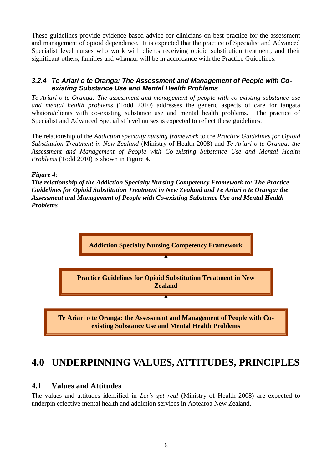These guidelines provide evidence-based advice for clinicians on best practice for the assessment and management of opioid dependence. It is expected that the practice of Specialist and Advanced Specialist level nurses who work with clients receiving opioid substitution treatment, and their significant others, families and whānau, will be in accordance with the Practice Guidelines.

#### <span id="page-11-0"></span>*3.2.4 Te Ariari o te Oranga: The Assessment and Management of People with Coexisting Substance Use and Mental Health Problems*

*Te Ariari o te Oranga: The assessment and management of people with co-existing substance use and mental health problems* (Todd 2010) addresses the generic aspects of care for tangata whaiora/clients with co-existing substance use and mental health problems. The practice of Specialist and Advanced Specialist level nurses is expected to reflect these guidelines.

The relationship of the *Addiction specialty nursing framework* to the *Practice Guidelines for Opioid Substitution Treatment in New Zealand* (Ministry of Health 2008) and *Te Ariari o te Oranga: the Assessment and Management of People with Co-existing Substance Use and Mental Health Problems* (Todd 2010) is shown in Figure 4.

#### *Figure 4:*

*The relationship of the Addiction Specialty Nursing Competency Framework to: The Practice Guidelines for Opioid Substitution Treatment in New Zealand and Te Ariari o te Oranga: the Assessment and Management of People with Co-existing Substance Use and Mental Health Problems*



## <span id="page-11-1"></span>**4.0 UNDERPINNING VALUES, ATTITUDES, PRINCIPLES**

#### <span id="page-11-2"></span>**4.1 Values and Attitudes**

The values and attitudes identified in *Let's get real* (Ministry of Health 2008) are expected to underpin effective mental health and addiction services in Aotearoa New Zealand.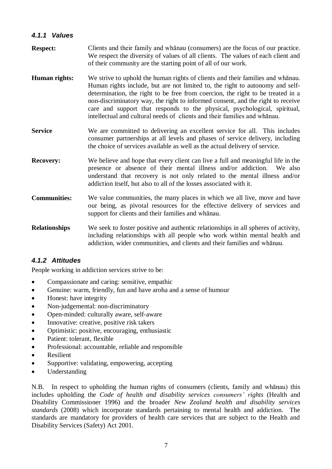#### <span id="page-12-0"></span>*4.1.1 Values*

- **Respect:** Clients and their family and whānau (consumers) are the focus of our practice. We respect the diversity of values of all clients. The values of each client and of their community are the starting point of all of our work.
- **Human rights:** We strive to uphold the human rights of clients and their families and whānau. Human rights include, but are not limited to, the right to autonomy and selfdetermination, the right to be free from coercion, the right to be treated in a non-discriminatory way, the right to informed consent, and the right to receive care and support that responds to the physical, psychological, spiritual, intellectual and cultural needs of clients and their families and whānau.
- **Service** We are committed to delivering an excellent service for all. This includes consumer partnerships at all levels and phases of service delivery, including the choice of services available as well as the actual delivery of service.
- **Recovery:** We believe and hope that every client can live a full and meaningful life in the presence or absence of their mental illness and/or addiction. We also understand that recovery is not only related to the mental illness and/or addiction itself, but also to all of the losses associated with it.
- **Communities:** We value communities, the many places in which we all live, move and have our being, as pivotal resources for the effective delivery of services and support for clients and their families and whānau.
- **Relationships** We seek to foster positive and authentic relationships in all spheres of activity, including relationships with all people who work within mental health and addiction, wider communities, and clients and their families and whānau.

#### <span id="page-12-1"></span>*4.1.2 Attitudes*

People working in addiction services strive to be:

- Compassionate and caring: sensitive, empathic
- Genuine: warm, friendly, fun and have aroha and a sense of humour
- Honest: have integrity
- Non-judgemental: non-discriminatory
- Open-minded: culturally aware, self-aware
- Innovative: creative, positive risk takers
- Optimistic: positive, encouraging, enthusiastic
- Patient: tolerant, flexible
- Professional: accountable, reliable and responsible
- Resilient
- Supportive: validating, empowering, accepting
- Understanding

N.B. In respect to upholding the human rights of consumers (clients, family and whānau) this includes upholding the *Code of health and disability services consumers' rights* (Health and Disability Commissioner 1996) and the broader *New Zealand health and disability services standards* (2008) which incorporate standards pertaining to mental health and addiction. The standards are mandatory for providers of health care services that are subject to the Health and Disability Services (Safety) Act 2001.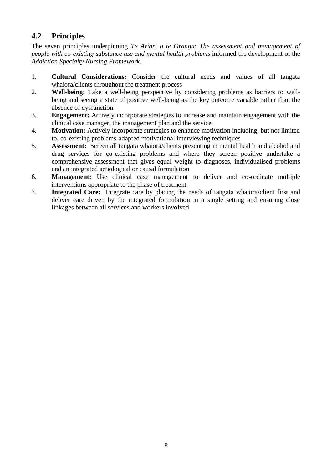#### <span id="page-13-0"></span>**4.2 Principles**

The seven principles underpinning *Te Ariari o te Oranga*: *The assessment and management of people with co-existing substance use and mental health problems* informed the development of the *Addiction Specialty Nursing Framework*.

- 1. **Cultural Considerations:** Consider the cultural needs and values of all tangata whaiora/clients throughout the treatment process
- 2. **Well-being:** Take a well-being perspective by considering problems as barriers to wellbeing and seeing a state of positive well-being as the key outcome variable rather than the absence of dysfunction
- 3. **Engagement:** Actively incorporate strategies to increase and maintain engagement with the clinical case manager, the management plan and the service
- 4. **Motivation:** Actively incorporate strategies to enhance motivation including, but not limited to, co-existing problems-adapted motivational interviewing techniques
- 5. **Assessment:** Screen all tangata whaiora/clients presenting in mental health and alcohol and drug services for co-existing problems and where they screen positive undertake a comprehensive assessment that gives equal weight to diagnoses, individualised problems and an integrated aetiological or causal formulation
- 6. **Management:** Use clinical case management to deliver and co-ordinate multiple interventions appropriate to the phase of treatment
- 7. **Integrated Care:** Integrate care by placing the needs of tangata whaiora/client first and deliver care driven by the integrated formulation in a single setting and ensuring close linkages between all services and workers involved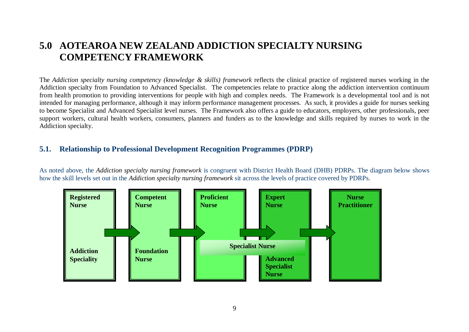## **5.0 AOTEAROA NEW ZEALAND ADDICTION SPECIALTY NURSING COMPETENCY FRAMEWORK**

The *Addiction specialty nursing competency (knowledge & skills) framework* reflects the clinical practice of registered nurses working in the Addiction specialty from Foundation to Advanced Specialist. The competencies relate to practice along the addiction intervention continuum from health promotion to providing interventions for people with high and complex needs. The Framework is a developmental tool and is not intended for managing performance, although it may inform performance management processes. As such, it provides a guide for nurses seeking to become Specialist and Advanced Specialist level nurses. The Framework also offers a guide to educators, employers, other professionals, peer support workers, cultural health workers, consumers, planners and funders as to the knowledge and skills required by nurses to work in the Addiction specialty.

#### **5.1. Relationship to Professional Development Recognition Programmes (PDRP)**

<span id="page-14-0"></span>As noted above, the *Addiction specialty nursing framework* is congruent with District Health Board (DHB) PDRPs. The diagram below shows how the skill levels set out in the *Addiction specialty nursing framework* sit across the levels of practice covered by PDRPs.

<span id="page-14-1"></span>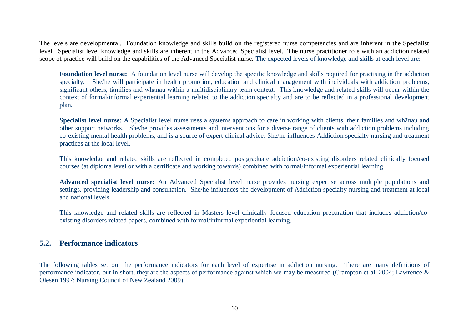The levels are developmental. Foundation knowledge and skills build on the registered nurse competencies and are inherent in the Specialist level. Specialist level knowledge and skills are inherent in the Advanced Specialist level. The nurse practitioner role with an addiction related scope of practice will build on the capabilities of the Advanced Specialist nurse. The expected levels of knowledge and skills at each level are:

**Foundation level nurse:** A foundation level nurse will develop the specific knowledge and skills required for practising in the addiction specialty. She/he will participate in health promotion, education and clinical management with individuals with addiction problems, significant others, families and whānau within a multidisciplinary team context. This knowledge and related skills will occur within the context of formal/informal experiential learning related to the addiction specialty and are to be reflected in a professional development plan.

**Specialist level nurse**: A Specialist level nurse uses a systems approach to care in working with clients, their families and whānau and other support networks. She/he provides assessments and interventions for a diverse range of clients with addiction problems including co-existing mental health problems, and is a source of expert clinical advice. She/he influences Addiction specialty nursing and treatment practices at the local level.

This knowledge and related skills are reflected in completed postgraduate addiction/co-existing disorders related clinically focused courses (at diploma level or with a certificate and working towards) combined with formal/informal experiential learning*.*

**Advanced specialist level nurse:** An Advanced Specialist level nurse provides nursing expertise across multiple populations and settings, providing leadership and consultation. She/he influences the development of Addiction specialty nursing and treatment at local and national levels.

This knowledge and related skills are reflected in Masters level clinically focused education preparation that includes addiction/coexisting disorders related papers, combined with formal/informal experiential learning.

#### **5.2. Performance indicators**

<span id="page-15-0"></span>The following tables set out the performance indicators for each level of expertise in addiction nursing. There are many definitions of performance indicator, but in short, they are the aspects of performance against which we may be measured (Crampton et al. 2004; Lawrence & Olesen 1997; Nursing Council of New Zealand 2009).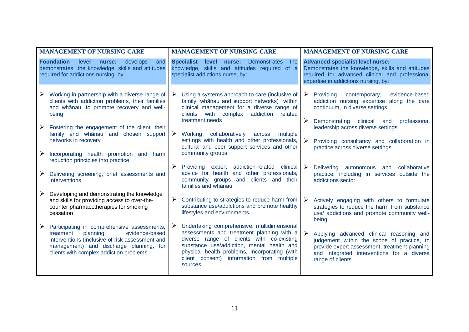| <b>MANAGEMENT OF NURSING CARE</b> |                                                                                                                                                                                                                                  | <b>MANAGEMENT OF NURSING CARE</b>                                                                                                                |                                                                                                                                                                                                                                                                                              | <b>MANAGEMENT OF NURSING CARE</b>                                                                                                                                                      |                                                                                                                                                                                                           |
|-----------------------------------|----------------------------------------------------------------------------------------------------------------------------------------------------------------------------------------------------------------------------------|--------------------------------------------------------------------------------------------------------------------------------------------------|----------------------------------------------------------------------------------------------------------------------------------------------------------------------------------------------------------------------------------------------------------------------------------------------|----------------------------------------------------------------------------------------------------------------------------------------------------------------------------------------|-----------------------------------------------------------------------------------------------------------------------------------------------------------------------------------------------------------|
|                                   | <b>Foundation</b><br>level<br>nurse:<br>develops<br>and<br>demonstrates the knowledge, skills and attitudes<br>required for addictions nursing, by:                                                                              | <b>Specialist</b><br>Demonstrates<br>level<br>nurse:<br>the<br>knowledge, skills and attitudes required of a<br>specialist addictions nurse, by: |                                                                                                                                                                                                                                                                                              | <b>Advanced specialist level nurse:</b><br>Demonstrates the knowledge, skills and attitudes<br>required for advanced clinical and professional<br>expertise in addictions nursing, by: |                                                                                                                                                                                                           |
| ➤                                 | Working in partnership with a diverse range of<br>clients with addiction problems, their families<br>and whanau, to promote recovery and well-<br>being                                                                          | ➤                                                                                                                                                | Using a systems approach to care (inclusive of<br>family, whanau and support networks) within<br>clinical management for a diverse range of<br>clients with complex addiction related                                                                                                        |                                                                                                                                                                                        | evidence-based<br>$\triangleright$ Providing<br>contemporary,<br>addiction nursing expertise along the care<br>continuum, in diverse settings                                                             |
| ➤                                 | Fostering the engagement of the client, their<br>family and whanau and chosen support                                                                                                                                            |                                                                                                                                                  | treatment needs<br>$\triangleright$ Working<br>collaboratively<br>across<br>multiple                                                                                                                                                                                                         | ➤                                                                                                                                                                                      | clinical and<br>professional<br>Demonstrating<br>leadership across diverse settings                                                                                                                       |
|                                   | networks in recovery                                                                                                                                                                                                             |                                                                                                                                                  | settings with health and other professionals,<br>cultural and peer support services and other                                                                                                                                                                                                |                                                                                                                                                                                        | Providing consultancy and collaboration in<br>practice across diverse settings                                                                                                                            |
| ➤                                 | Incorporating health promotion and harm<br>reduction principles into practice                                                                                                                                                    |                                                                                                                                                  | community groups                                                                                                                                                                                                                                                                             |                                                                                                                                                                                        |                                                                                                                                                                                                           |
| $\blacktriangleright$             | Delivering screening, brief assessments and<br>interventions                                                                                                                                                                     |                                                                                                                                                  | $\triangleright$ Providing expert addiction-related clinical<br>advice for health and other professionals,<br>community groups and clients and their<br>families and whanau                                                                                                                  |                                                                                                                                                                                        | Delivering autonomous and<br>collaborative<br>practice, including in services outside the<br>addictions sector                                                                                            |
| ➤                                 | Developing and demonstrating the knowledge<br>and skills for providing access to over-the-<br>counter pharmacotherapies for smoking<br>cessation                                                                                 | ➤                                                                                                                                                | Contributing to strategies to reduce harm from<br>substance use/addictions and promote healthy<br>lifestyles and environments                                                                                                                                                                | $\blacktriangleright$                                                                                                                                                                  | Actively engaging with others to formulate<br>strategies to reduce the harm from substance<br>use/ addictions and promote community well-<br>being                                                        |
| ➤                                 | Participating in comprehensive assessments,<br>treatment<br>planning,<br>evidence-based<br>interventions (inclusive of risk assessment and<br>management) and discharge planning, for<br>clients with complex addiction problems | ➤                                                                                                                                                | Undertaking comprehensive, multidimensional<br>assessments and treatment planning with a<br>diverse range of clients with co-existing<br>substance use/addiction, mental health and<br>physical health problems, incorporating (with<br>client consent) information from multiple<br>sources | $\triangleright$                                                                                                                                                                       | Applying advanced clinical reasoning and<br>judgement within the scope of practice, to<br>provide expert assessment, treatment planning<br>and integrated interventions for a diverse<br>range of clients |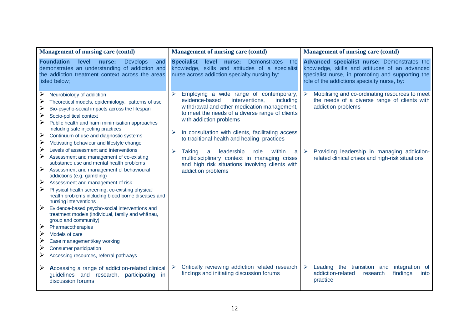| <b>Management of nursing care (contd)</b>                                                                                                                                                                                                                                                                                                                                                                                                                                                                                                                                                                                                                                                                           | <b>Management of nursing care (contd)</b>                                                                                                                                                                                                                                                                                                          | <b>Management of nursing care (contd)</b>                                                                                                                                                         |  |  |
|---------------------------------------------------------------------------------------------------------------------------------------------------------------------------------------------------------------------------------------------------------------------------------------------------------------------------------------------------------------------------------------------------------------------------------------------------------------------------------------------------------------------------------------------------------------------------------------------------------------------------------------------------------------------------------------------------------------------|----------------------------------------------------------------------------------------------------------------------------------------------------------------------------------------------------------------------------------------------------------------------------------------------------------------------------------------------------|---------------------------------------------------------------------------------------------------------------------------------------------------------------------------------------------------|--|--|
| <b>Foundation</b><br>level<br><b>Develops</b><br>nurse:<br>and<br>demonstrates an understanding of addiction and<br>the addiction treatment context across the areas<br>listed below;                                                                                                                                                                                                                                                                                                                                                                                                                                                                                                                               | <b>Specialist</b><br>level<br>nurse:<br><b>Demonstrates</b><br>the<br>knowledge, skills and attitudes of a specialist<br>nurse across addiction specialty nursing by:                                                                                                                                                                              | Advanced specialist nurse: Demonstrates the<br>knowledge, skills and attitudes of an advanced<br>specialist nurse, in promoting and supporting the<br>role of the addictions specialty nurse, by: |  |  |
| ➤<br>Neurobiology of addiction<br>Theoretical models, epidemiology, patterns of use<br>➤<br>≻<br>Bio-psycho-social impacts across the lifespan<br>➤<br>Socio-political context<br>➤<br>Public health and harm minimisation approaches<br>including safe injecting practices<br>➤<br>Continuum of use and diagnostic systems<br>≻<br>Motivating behaviour and lifestyle change                                                                                                                                                                                                                                                                                                                                       | Employing a wide range of contemporary,<br>$\blacktriangleright$<br>evidence-based<br>interventions,<br>including<br>withdrawal and other medication management,<br>to meet the needs of a diverse range of clients<br>with addiction problems<br>In consultation with clients, facilitating access<br>to traditional health and healing practices | Mobilising and co-ordinating resources to meet<br>$\blacktriangleright$<br>the needs of a diverse range of clients with<br>addiction problems                                                     |  |  |
| ➤<br>Levels of assessment and interventions<br>Assessment and management of co-existing<br>substance use and mental health problems<br>➤<br>Assessment and management of behavioural<br>addictions (e.g. gambling)<br>Assessment and management of risk<br>➤<br>Physical health screening; co-existing physical<br>health problems including blood borne diseases and<br>nursing interventions<br>$\blacktriangleright$<br>Evidence-based psycho-social interventions and<br>treatment models (individual, family and whānau,<br>group and community)<br>➤<br>Pharmacotherapies<br>➤<br>Models of care<br>Case management/key working<br>Consumer participation<br>➤<br>Accessing resources, referral pathways<br>➤ | leadership<br><b>Taking</b><br>role<br>within<br>⋗<br>a<br>a<br>multidisciplinary context in managing crises<br>and high risk situations involving clients with<br>addiction problems                                                                                                                                                              | Providing leadership in managing addiction-<br>➤<br>related clinical crises and high-risk situations                                                                                              |  |  |
| Accessing a range of addiction-related clinical<br>➤<br>guidelines and research,<br>participating in<br>discussion forums                                                                                                                                                                                                                                                                                                                                                                                                                                                                                                                                                                                           | Critically reviewing addiction related research<br>$\blacktriangleright$<br>findings and initiating discussion forums                                                                                                                                                                                                                              | Leading the transition and integration of<br>➤<br>addiction-related<br>findings<br>research<br>into<br>practice                                                                                   |  |  |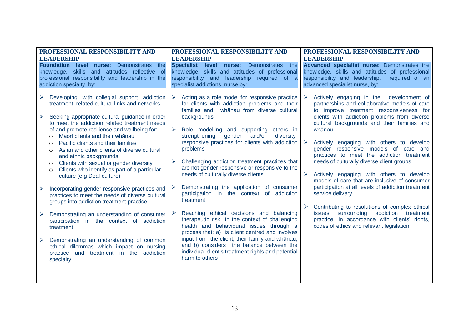| PROFESSIONAL RESPONSIBILITY AND<br><b>LEADERSHIP</b>                                                                                                                                                                                                                                                                                                                                                                                                                                                                                                                                                                                                                                                                                                                                                                                                                                                                                                                                                                                              | PROFESSIONAL RESPONSIBILITY AND<br><b>LEADERSHIP</b>                                                                                                                                                                                                                                                                                                                                                                                                                                                                                                                                                                                                                                                                                                                                                                                                                                                                                                                                       | PROFESSIONAL RESPONSIBILITY AND<br><b>LEADERSHIP</b>                                                                                                                                                                                                                                                                                                                                                                                                                                                                                                                                                                                                                                                                                                                                                       |  |  |
|---------------------------------------------------------------------------------------------------------------------------------------------------------------------------------------------------------------------------------------------------------------------------------------------------------------------------------------------------------------------------------------------------------------------------------------------------------------------------------------------------------------------------------------------------------------------------------------------------------------------------------------------------------------------------------------------------------------------------------------------------------------------------------------------------------------------------------------------------------------------------------------------------------------------------------------------------------------------------------------------------------------------------------------------------|--------------------------------------------------------------------------------------------------------------------------------------------------------------------------------------------------------------------------------------------------------------------------------------------------------------------------------------------------------------------------------------------------------------------------------------------------------------------------------------------------------------------------------------------------------------------------------------------------------------------------------------------------------------------------------------------------------------------------------------------------------------------------------------------------------------------------------------------------------------------------------------------------------------------------------------------------------------------------------------------|------------------------------------------------------------------------------------------------------------------------------------------------------------------------------------------------------------------------------------------------------------------------------------------------------------------------------------------------------------------------------------------------------------------------------------------------------------------------------------------------------------------------------------------------------------------------------------------------------------------------------------------------------------------------------------------------------------------------------------------------------------------------------------------------------------|--|--|
| <b>Foundation level nurse: Demonstrates</b><br>the<br>knowledge, skills and attitudes reflective of<br>professional responsibility and leadership in the<br>addiction specialty, by:                                                                                                                                                                                                                                                                                                                                                                                                                                                                                                                                                                                                                                                                                                                                                                                                                                                              | <b>Specialist</b><br>nurse:<br>level<br><b>Demonstrates</b><br>the<br>knowledge, skills and attitudes of professional<br>responsibility and leadership required of a<br>specialist addictions nurse by:                                                                                                                                                                                                                                                                                                                                                                                                                                                                                                                                                                                                                                                                                                                                                                                    | Advanced specialist nurse: Demonstrates the<br>knowledge, skills and attitudes of professional<br>responsibility and leadership,<br>required of an<br>advanced specialist nurse, by:                                                                                                                                                                                                                                                                                                                                                                                                                                                                                                                                                                                                                       |  |  |
| Developing, with collegial support, addiction<br>$\blacktriangleright$<br>treatment related cultural links and networks<br>Seeking appropriate cultural guidance in order<br>$\blacktriangleright$<br>to meet the addiction related treatment needs<br>of and promote resilience and wellbeing for:<br>Maori clients and their whanau<br>$\circ$<br>Pacific clients and their families<br>$\circ$<br>Asian and other clients of diverse cultural<br>$\circ$<br>and ethnic backgrounds<br>Clients with sexual or gender diversity<br>$\circ$<br>Clients who identify as part of a particular<br>$\circ$<br>culture (e.g Deaf culture)<br>Incorporating gender responsive practices and<br>practices to meet the needs of diverse cultural<br>groups into addiction treatment practice<br>Demonstrating an understanding of consumer<br>participation in the context of addiction<br>treatment<br>Demonstrating an understanding of common<br>➤<br>ethical dilemmas which impact on nursing<br>practice and treatment in the addiction<br>specialty | Acting as a role model for responsive practice<br>≻<br>for clients with addiction problems and their<br>families and whanau from diverse cultural<br>backgrounds<br>$\blacktriangleright$<br>Role modelling and supporting others in<br>gender<br>strengthening<br>and/or<br>diversity-<br>responsive practices for clients with addiction<br>problems<br>Challenging addiction treatment practices that<br>➤<br>are not gender responsive or responsive to the<br>needs of culturally diverse clients<br>Demonstrating the application of consumer<br>➤<br>participation in the context of addiction<br>treatment<br>Reaching ethical decisions and balancing<br>➤<br>therapeutic risk in the context of challenging<br>health and behavioural issues through a<br>process that: a) is client centred and involves<br>input from the client, their family and whānau;<br>and b) considers the balance between the<br>individual client's treatment rights and potential<br>harm to others | Actively engaging in the development of<br>partnerships and collaborative models of care<br>to improve treatment responsiveness for<br>clients with addiction problems from diverse<br>cultural backgrounds and their families and<br>whānau<br>Actively engaging with others to develop<br>gender responsive models of care and<br>practices to meet the addiction treatment<br>needs of culturally diverse client groups<br>Actively engaging with others to develop<br>models of care that are inclusive of consumer<br>participation at all levels of addiction treatment<br>service delivery<br>Contributing to resolutions of complex ethical<br>addiction<br>surrounding<br><i>issues</i><br>treatment<br>practice, in accordance with clients' rights,<br>codes of ethics and relevant legislation |  |  |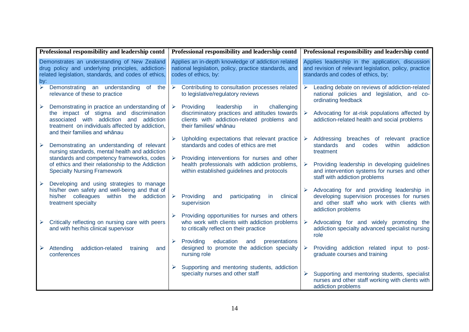| Professional responsibility and leadership contd |                                                                                                                                                                                                                         |                       | Professional responsibility and leadership contd                                                                                                                        | Professional responsibility and leadership contd |                                                                                                                                                               |  |  |
|--------------------------------------------------|-------------------------------------------------------------------------------------------------------------------------------------------------------------------------------------------------------------------------|-----------------------|-------------------------------------------------------------------------------------------------------------------------------------------------------------------------|--------------------------------------------------|---------------------------------------------------------------------------------------------------------------------------------------------------------------|--|--|
| by:                                              | Demonstrates an understanding of New Zealand<br>drug policy and underlying principles, addiction-<br>related legislation, standards, and codes of ethics,                                                               |                       | Applies an in-depth knowledge of addiction related<br>national legislation, policy, practice standards, and<br>codes of ethics, by:                                     |                                                  | Applies leadership in the application, discussion<br>and revision of relevant legislation, policy, practice<br>standards and codes of ethics, by;             |  |  |
| $\overline{\blacktriangleright}$                 | Demonstrating an understanding of<br>the<br>relevance of these to practice                                                                                                                                              | ≻                     | Contributing to consultation processes related<br>to legislative/regulatory reviews                                                                                     |                                                  | Leading debate on reviews of addiction-related<br>national policies and legislation, and co-<br>ordinating feedback                                           |  |  |
| $\blacktriangleright$                            | Demonstrating in practice an understanding of<br>the impact of stigma and discrimination<br>associated with addiction and addiction<br>treatment on individuals affected by addiction,<br>and their families and whānau | $\blacktriangleright$ | Providing<br>challenging<br>leadership<br>in<br>discriminatory practices and attitudes towards<br>clients with addiction-related problems and<br>their families/ whānau |                                                  | Advocating for at-risk populations affected by<br>addiction-related health and social problems                                                                |  |  |
| ➤                                                | Demonstrating an understanding of relevant<br>nursing standards, mental health and addiction                                                                                                                            |                       | $\triangleright$ Upholding expectations that relevant practice<br>standards and codes of ethics are met                                                                 |                                                  | Addressing<br>breaches of relevant practice<br>standards<br>codes<br>within<br>addiction<br>and<br>treatment                                                  |  |  |
|                                                  | standards and competency frameworks, codes<br>of ethics and their relationship to the Addiction<br><b>Specialty Nursing Framework</b>                                                                                   | $\blacktriangleright$ | Providing interventions for nurses and other<br>health professionals with addiction problems,<br>within established guidelines and protocols                            |                                                  | Providing leadership in developing guidelines<br>and intervention systems for nurses and other<br>staff with addiction problems                               |  |  |
| $\blacktriangleright$                            | Developing and using strategies to manage<br>his/her own safety and well-being and that of<br>his/her colleagues within the addiction<br>treatment specialty                                                            | $\blacktriangleright$ | Providing<br>participating<br>clinical<br>and<br>in.<br>supervision                                                                                                     |                                                  | Advocating for and providing leadership in<br>developing supervision processes for nurses<br>and other staff who work with clients with<br>addiction problems |  |  |
| ➤                                                | Critically reflecting on nursing care with peers<br>and with her/his clinical supervisor                                                                                                                                | $\blacktriangleright$ | Providing opportunities for nurses and others<br>who work with clients with addiction problems<br>to critically reflect on their practice                               |                                                  | Advocating for and widely promoting the<br>addiction specialty advanced specialist nursing<br>role                                                            |  |  |
|                                                  | addiction-related<br>Attending<br>training<br>and<br>conferences                                                                                                                                                        | $\blacktriangleright$ | Providing<br>education<br>and<br>presentations<br>designed to promote the addiction specialty<br>nursing role                                                           |                                                  | Providing addiction related input to post-<br>graduate courses and training                                                                                   |  |  |
|                                                  |                                                                                                                                                                                                                         |                       | Supporting and mentoring students, addiction<br>specialty nurses and other staff                                                                                        |                                                  | Supporting and mentoring students, specialist<br>nurses and other staff working with clients with<br>addiction problems                                       |  |  |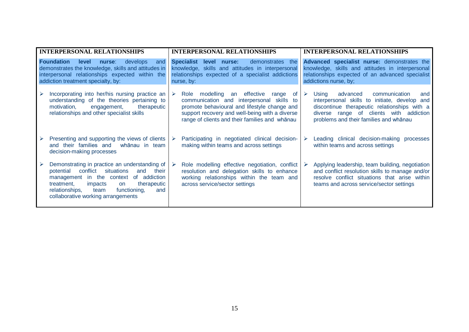|                                                                                                                                                                                                         | <b>INTERPERSONAL RELATIONSHIPS</b>                                                                                                                                                                                                                                                  |                                                                                                                                                                    | <b>INTERPERSONAL RELATIONSHIPS</b>                                                                                                                                                                                                          | <b>INTERPERSONAL RELATIONSHIPS</b>                                                                                                                                           |                                                                                                                                                                                                                                    |  |
|---------------------------------------------------------------------------------------------------------------------------------------------------------------------------------------------------------|-------------------------------------------------------------------------------------------------------------------------------------------------------------------------------------------------------------------------------------------------------------------------------------|--------------------------------------------------------------------------------------------------------------------------------------------------------------------|---------------------------------------------------------------------------------------------------------------------------------------------------------------------------------------------------------------------------------------------|------------------------------------------------------------------------------------------------------------------------------------------------------------------------------|------------------------------------------------------------------------------------------------------------------------------------------------------------------------------------------------------------------------------------|--|
| <b>Foundation</b><br>develops<br>level<br>nurse:<br>and<br>demonstrates the knowledge, skills and attitudes in<br>interpersonal relationships expected within the<br>addiction treatment specialty, by: |                                                                                                                                                                                                                                                                                     | Specialist level nurse:<br>demonstrates the<br>knowledge, skills and attitudes in interpersonal<br>relationships expected of a specialist addictions<br>nurse, by: |                                                                                                                                                                                                                                             | Advanced specialist nurse: demonstrates the<br>knowledge, skills and attitudes in interpersonal<br>relationships expected of an advanced specialist<br>addictions nurse, by; |                                                                                                                                                                                                                                    |  |
| $\blacktriangleright$                                                                                                                                                                                   | Incorporating into her/his nursing practice an $\triangleright$<br>understanding of the theories pertaining to<br>motivation,<br>therapeutic<br>engagement,<br>relationships and other specialist skills                                                                            |                                                                                                                                                                    | Role modelling an effective<br>of<br>range<br>communication and interpersonal skills to<br>promote behavioural and lifestyle change and<br>support recovery and well-being with a diverse<br>range of clients and their families and whanau | $\triangleright$                                                                                                                                                             | advanced<br>Using<br>communication<br>and<br>interpersonal skills to initiate, develop<br>and<br>discontinue therapeutic relationships with a<br>diverse range of clients with addiction<br>problems and their families and whanau |  |
| ➤                                                                                                                                                                                                       | Presenting and supporting the views of clients<br>and their families and<br>whānau in team<br>decision-making processes                                                                                                                                                             |                                                                                                                                                                    | Participating in negotiated clinical decision-<br>making within teams and across settings                                                                                                                                                   | ➤                                                                                                                                                                            | Leading clinical decision-making processes<br>within teams and across settings                                                                                                                                                     |  |
| ➤                                                                                                                                                                                                       | Demonstrating in practice an understanding of<br>conflict<br>situations<br>potential<br>and<br>their<br>management in the context of addiction<br>treatment,<br>therapeutic<br>impacts<br>on<br>relationships,<br>functioning,<br>and<br>team<br>collaborative working arrangements | $\triangleright$                                                                                                                                                   | Role modelling effective negotiation, conflict<br>resolution and delegation skills to enhance<br>working relationships within the team and<br>across service/sector settings                                                                | $\rightarrow$                                                                                                                                                                | Applying leadership, team building, negotiation<br>and conflict resolution skills to manage and/or<br>resolve conflict situations that arise within<br>teams and across service/sector settings                                    |  |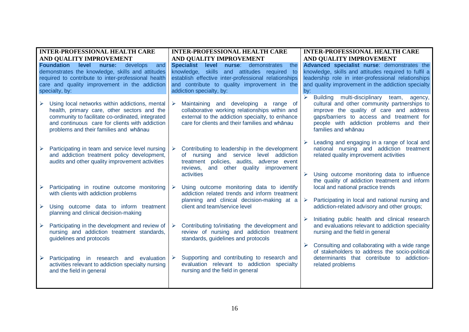| <b>INTER-PROFESSIONAL HEALTH CARE</b> |                                                                                                                                                                                                                                               | <b>INTER-PROFESSIONAL HEALTH CARE</b> |                                                                                                                                                                                                                                                | <b>INTER-PROFESSIONAL HEALTH CARE</b>                                                                                                                                                                                   |                                                                                                                                                                                                                                                      |  |  |
|---------------------------------------|-----------------------------------------------------------------------------------------------------------------------------------------------------------------------------------------------------------------------------------------------|---------------------------------------|------------------------------------------------------------------------------------------------------------------------------------------------------------------------------------------------------------------------------------------------|-------------------------------------------------------------------------------------------------------------------------------------------------------------------------------------------------------------------------|------------------------------------------------------------------------------------------------------------------------------------------------------------------------------------------------------------------------------------------------------|--|--|
|                                       | AND QUALITY IMPROVEMENT                                                                                                                                                                                                                       | AND QUALITY IMPROVEMENT               |                                                                                                                                                                                                                                                |                                                                                                                                                                                                                         | AND QUALITY IMPROVEMENT                                                                                                                                                                                                                              |  |  |
|                                       | <b>Foundation</b><br>level<br>nurse:<br>develops<br>and<br>demonstrates the knowledge, skills and attitudes<br>required to contribute to inter-professional health<br>care and quality improvement in the addiction<br>specialty, by:         |                                       | <b>Specialist</b><br>level<br>nurse:<br>demonstrates<br>the<br>knowledge, skills and attitudes required to<br>establish effective inter-professional relationships<br>and contribute to quality improvement in the<br>addiction specialty, by: | Advanced specialist nurse: demonstrates the<br>knowledge, skills and attitudes required to fulfil a<br>leadership role in inter-professional relationships<br>and quality improvement in the addiction specialty<br>bv: |                                                                                                                                                                                                                                                      |  |  |
|                                       | Using local networks within addictions, mental<br>health, primary care, other sectors and the<br>community to facilitate co-ordinated, integrated<br>and continuous care for clients with addiction<br>problems and their families and whanau | $\triangleright$                      | Maintaining and developing a range of<br>collaborative working relationships within and<br>external to the addiction specialty, to enhance<br>care for clients and their families and whanau                                                   | $\blacktriangleright$                                                                                                                                                                                                   | Building multi-disciplinary team, agency,<br>cultural and other community partnerships to<br>improve the quality of care and address<br>gaps/barriers to access and treatment for<br>people with addiction problems and their<br>families and whanau |  |  |
|                                       | Participating in team and service level nursing<br>and addiction treatment policy development,<br>audits and other quality improvement activities                                                                                             |                                       | Contributing to leadership in the development<br>of nursing and service level addiction<br>treatment policies, audits, adverse event<br>reviews, and other quality improvement                                                                 |                                                                                                                                                                                                                         | Leading and engaging in a range of local and<br>national nursing and addiction treatment<br>related quality improvement activities                                                                                                                   |  |  |
|                                       | Participating in routine outcome monitoring<br>with clients with addiction problems                                                                                                                                                           | ➤                                     | activities<br>Using outcome monitoring data to identify<br>addiction related trends and inform treatment                                                                                                                                       |                                                                                                                                                                                                                         | Using outcome monitoring data to influence<br>the quality of addiction treatment and inform<br>local and national practice trends                                                                                                                    |  |  |
|                                       | Using outcome data to inform treatment<br>planning and clinical decision-making                                                                                                                                                               |                                       | planning and clinical decision-making at a<br>client and team/service level                                                                                                                                                                    | $\triangleright$                                                                                                                                                                                                        | Participating in local and national nursing and<br>addiction-related advisory and other groups;                                                                                                                                                      |  |  |
|                                       | Participating in the development and review of<br>nursing and addiction treatment standards,<br>guidelines and protocols                                                                                                                      | $\triangleright$                      | Contributing to/initiating the development and<br>review of nursing and addiction treatment<br>standards, guidelines and protocols                                                                                                             |                                                                                                                                                                                                                         | Initiating public health and clinical research<br>and evaluations relevant to addiction speciality<br>nursing and the field in general                                                                                                               |  |  |
|                                       | Participating in research and evaluation<br>activities relevant to addiction specialty nursing<br>and the field in general                                                                                                                    | $\blacktriangleright$                 | Supporting and contributing to research and<br>evaluation relevant to addiction specialty<br>nursing and the field in general                                                                                                                  |                                                                                                                                                                                                                         | Consulting and collaborating with a wide range<br>of stakeholders to address the socio-political<br>determinants that contribute to addiction-<br>related problems                                                                                   |  |  |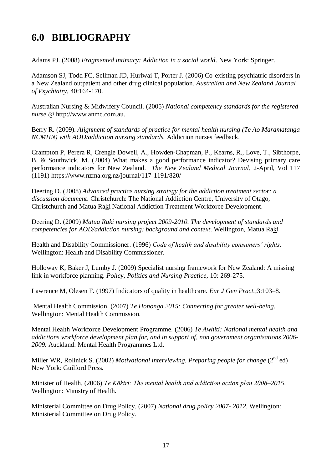## <span id="page-22-0"></span>**6.0 BIBLIOGRAPHY**

Adams PJ. (2008) *Fragmented intimacy: Addiction in a social world*. New York: Springer.

Adamson SJ, Todd FC, Sellman JD, Huriwai T, Porter J. (2006) Co-existing psychiatric disorders in a New Zealand outpatient and other drug clinical population. *Australian and New Zealand Journal of Psychiatry,* 40:164-170.

Australian Nursing & Midwifery Council. (2005) *National competency standards for the registered nurse* @ http://www.anmc.com.au.

Berry R. (2009). *Alignment of standards of practice for mental health nursing (Te Ao Maramatanga NCMHN) with AOD/addiction nursing standards.* Addiction nurses feedback.

Crampton P, Perera R, Crengle Dowell, A., Howden-Chapman, P., Kearns, R., Love, T., Sibthorpe, B. & Southwick, M. (2004) What makes a good performance indicator? Devising primary care performance indicators for New Zealand. *The New Zealand Medical Journal*, 2-April, Vol 117 (1191) https://www.nzma.org.nz/journal/117-1191/820/

Deering D. (2008) *Advanced practice nursing strategy for the addiction treatment sector: a discussion document*. Christchurch: The National Addiction Centre, University of Otago, Christchurch and Matua Raki National Addiction Treatment Workforce Development.

Deering D. (2009) *Matua Raki nursing project 2009-2010. The development of standards and competencies for AOD/addiction nursing: background and context*. Wellington, Matua Raki

Health and Disability Commissioner. (1996) *Code of health and disability consumers' rights*. Wellington: Health and Disability Commissioner.

Holloway K, Baker J, Lumby J. (2009) Specialist nursing framework for New Zealand: A missing link in workforce planning. *Policy, Politics and Nursing Practice,* 10: 269-275.

Lawrence M, Olesen F. (1997) Indicators of quality in healthcare. *Eur J Gen Pract.*;3:103–8.

Mental Health Commission. (2007) *Te Hononga 2015: Connecting for greater well-being*. Wellington: Mental Health Commission.

Mental Health Workforce Development Programme. (2006) *Te Awhiti: National mental health and addictions workforce development plan for, and in support of, non government organisations 2006- 2009.* Auckland: Mental Health Programmes Ltd.

Miller WR, Rollnick S. (2002) *Motivational interviewing. Preparing people for change* (2<sup>nd</sup> ed) New York: Guilford Press.

Minister of Health. (2006) *Te Kōkiri: The mental health and addiction action plan 2006–2015*. Wellington: Ministry of Health.

Ministerial Committee on Drug Policy. (2007) *National drug policy 2007- 2012*. Wellington: Ministerial Committee on Drug Policy.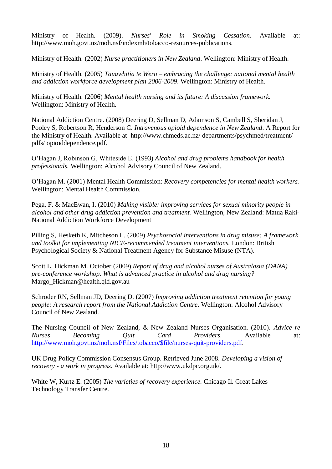Ministry of Health. (2009). *Nurses' Role in Smoking Cessation.* Available at: http://www.moh.govt.nz/moh.nsf/indexmh/tobacco-resources-publications.

Ministry of Health. (2002) *Nurse practitioners in New Zealand*. Wellington: Ministry of Health.

Ministry of Health. (2005) *Tauawhitia te Wero – embracing the challenge: national mental health and addiction workforce development plan 2006-2009*. Wellington: Ministry of Health.

Ministry of Health. (2006) *Mental health nursing and its future: A discussion framework.* Wellington: Ministry of Health.

National Addiction Centre. (2008) Deering D, Sellman D, Adamson S, Cambell S, Sheridan J, Pooley S, Robertson R, Henderson C. *Intravenous opioid dependence in New Zealand*. A Report for the Ministry of Health. Available at [http://www.chmeds.ac.nz/ departments/psychmed/treatment/](http://www.chmeds.ac.nz/%20departments/psychmed/treatment/%20pdfs/%20opioiddependence.pdf)  [pdfs/ opioiddependence.pdf.](http://www.chmeds.ac.nz/%20departments/psychmed/treatment/%20pdfs/%20opioiddependence.pdf)

O'Hagan J, Robinson G, Whiteside E. (1993) *Alcohol and drug problems handbook for health professionals.* Wellington: Alcohol Advisory Council of New Zealand.

O'Hagan M. (2001) Mental Health Commission: *Recovery competencies for mental health workers.* Wellington: Mental Health Commission.

Pega, F. & MacEwan, I. (2010) *Making visible: improving services for sexual minority people in alcohol and other drug addiction prevention and treatment.* Wellington, New Zealand: Matua Raki-National Addiction Workforce Development

Pilling S, Hesketh K, Mitcheson L. (2009) *Psychosocial interventions in drug misuse: A framework and toolkit for implementing NICE-recommended treatment interventions.* London: British Psychological Society & National Treatment Agency for Substance Misuse (NTA).

Scott L, Hickman M. October (2009) *Report of drug and alcohol nurses of Australasia (DANA) pre-conference workshop. What is advanced practice in alcohol and drug nursing?* [Margo\\_Hickman@health.qld.gov.au](mailto:Margo_Hickman@health.qld.gov.au)

Schroder RN, Sellman JD, Deering D. (2007) *Improving addiction treatment retention for young people: A research report from the National Addiction Centre*. Wellington: Alcohol Advisory Council of New Zealand.

The Nursing Council of New Zealand, & New Zealand Nurses Organisation. (2010). *Advice re Nurses Becoming Quit Card Providers*. Available at: [http://www.moh.govt.nz/moh.nsf/Files/tobacco/\\$file/nurses-quit-providers.pdf.](http://www.moh.govt.nz/moh.nsf/Files/tobacco/$file/nurses-quit-providers.pdf)

UK Drug Policy Commission Consensus Group. Retrieved June 2008. *Developing a vision of recovery - a work in progress*. Available at: http://www.ukdpc.org.uk/.

White W, Kurtz E. (2005) *The varieties of recovery experience.* Chicago Il. Great Lakes Technology Transfer Centre.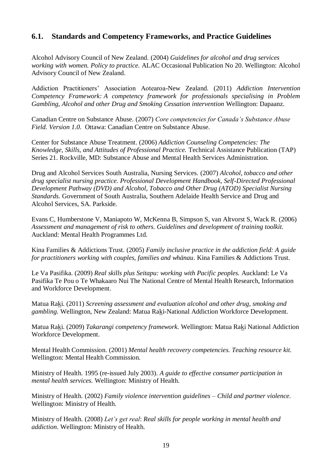#### <span id="page-24-0"></span>**6.1. Standards and Competency Frameworks, and Practice Guidelines**

Alcohol Advisory Council of New Zealand. (2004) *Guidelines for alcohol and drug services working with women. Policy to practice.* ALAC Occasional Publication No 20. Wellington: Alcohol Advisory Council of New Zealand.

Addiction Practitioners' Association Aotearoa-New Zealand. (2011) *Addiction Intervention Competency Framework: A competency framework for professionals specialising in Problem Gambling, Alcohol and other Drug and Smoking Cessation intervention* Wellington: Dapaanz.

Canadian Centre on Substance Abuse. (2007) *Core competencies for Canada's Substance Abuse Field. Version 1.0.* Ottawa: Canadian Centre on Substance Abuse.

Center for Substance Abuse Treatment. (2006) *Addiction Counseling Competencies: The Knowledge, Skills, and Attitudes of Professional Practice.* Technical Assistance Publication (TAP) Series 21. Rockville, MD: Substance Abuse and Mental Health Services Administration.

Drug and Alcohol Services South Australia, Nursing Services. (2007) *Alcohol, tobacco and other drug specialist nursing practice. Professional Development Handbook, Self-Directed Professional Development Pathway (DVD) and Alcohol, Tobacco and Other Drug (ATOD) Specialist Nursing Standards.* Government of South Australia, Southern Adelaide Health Service and Drug and Alcohol Services, SA. Parkside.

Evans C, Humberstone V, Maniapoto W, McKenna B, Simpson S, van Altvorst S, Wack R. (2006) *Assessment and management of risk to others. Guidelines and development of training toolkit.* Auckland: Mental Health Programmes Ltd.

Kina Families & Addictions Trust. (2005) *Family inclusive practice in the addiction field: A guide for practitioners working with couples, families and whänau*. Kina Families & Addictions Trust.

Le Va Pasifika. (2009) *Real skills plus Seitapu: working with Pacific peoples.* Auckland: Le Va Pasifika Te Pou o Te Whakaaro Nui The National Centre of Mental Health Research, Information and Workforce Development.

Matua Raki. (2011) *Screening assessment and evaluation alcohol and other drug, smoking and gambling.* Wellington, New Zealand: Matua Raki-National Addiction Workforce Development*.*

Matua Raki. (2009) *Takarangi competency framework.* Wellington: Matua Raki National Addiction Workforce Development.

Mental Health Commission. (2001) *Mental health recovery competencies. Teaching resource kit.* Wellington: Mental Health Commission.

Ministry of Health. 1995 (re-issued July 2003). *A guide to effective consumer participation in mental health services.* Wellington: Ministry of Health.

Ministry of Health. (2002) *Family violence intervention guidelines – Child and partner violence.* Wellington: Ministry of Health.

Ministry of Health. (2008) *Let's get real*: *Real skills for people working in mental health and addiction*. Wellington: Ministry of Health.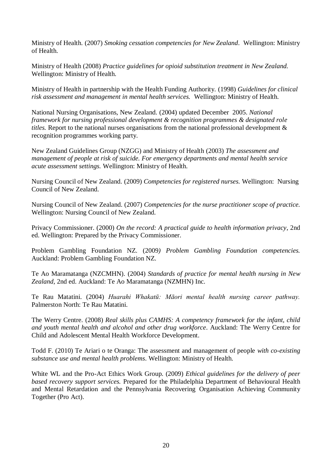Ministry of Health. (2007) *Smoking cessation competencies for New Zealand*. Wellington: Ministry of Health.

Ministry of Health (2008) *Practice guidelines for opioid substitution treatment in New Zealand.* Wellington: Ministry of Health.

Ministry of Health in partnership with the Health Funding Authority. (1998) *Guidelines for clinical risk assessment and management in mental health services.* Wellington: Ministry of Health.

National Nursing Organisations, New Zealand. (2004) updated December 2005. *National framework for nursing professional development & recognition programmes & designated role titles.* Report to the national nurses organisations from the national professional development & recognition programmes working party.

New Zealand Guidelines Group (NZGG) and Ministry of Health (2003) *The assessment and management of people at risk of suicide. For emergency departments and mental health service acute assessment settings.* Wellington: Ministry of Health.

Nursing Council of New Zealand. (2009) *Competencies for registered nurses.* Wellington: Nursing Council of New Zealand.

Nursing Council of New Zealand. (2007) *Competencies for the nurse practitioner scope of practice.* Wellington: Nursing Council of New Zealand.

Privacy Commissioner. (2000) *On the record: A practical guide to health information privacy*, 2nd ed. Wellington: Prepared by the Privacy Commissioner.

Problem Gambling Foundation NZ. (2009*) Problem Gambling Foundation competencies.*  Auckland: Problem Gambling Foundation NZ.

Te Ao Maramatanga (NZCMHN). (2004) *Standards of practice for mental health nursing in New Zealand,* 2nd ed. Auckland: Te Ao Maramatanga (NZMHN) Inc.

Te Rau Matatini. (2004) *Huarahi Whakatū: Māori mental health nursing career pathway.* Palmerston North: Te Rau Matatini.

The Werry Centre. (2008) *Real skills plus CAMHS: A competency framework for the infant, child and youth mental health and alcohol and other drug workforce*. Auckland: The Werry Centre for Child and Adolescent Mental Health Workforce Development.

Todd F. (2010) Te Ariari o te Oranga: The assessment and management of people *with co-existing substance use and mental health problems*. Wellington: Ministry of Health.

White WL and the Pro-Act Ethics Work Group. (2009) *Ethical guidelines for the delivery of peer based recovery support services.* Prepared for the Philadelphia Department of Behavioural Health and Mental Retardation and the Pennsylvania Recovering Organisation Achieving Community Together (Pro Act).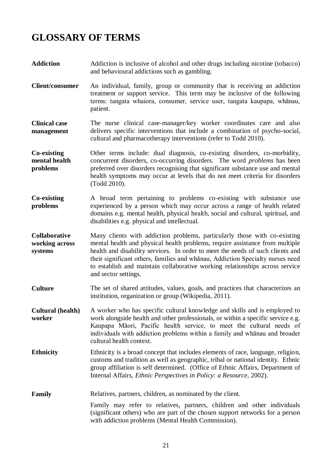## <span id="page-26-0"></span>**GLOSSARY OF TERMS**

- **Addiction** Addiction is inclusive of alcohol and other drugs including nicotine (tobacco) and behavioural addictions such as gambling.
- **Client/consumer** An individual, family, group or community that is receiving an addiction treatment or support service. This term may be inclusive of the following terms: tangata whaiora, consumer, service user, tangata kaupapa, whānau, patient.
- **Clinical case management** The nurse clinical case-manager/key worker coordinates care and also delivers specific interventions that include a combination of psycho-social, cultural and pharmacotherapy interventions (refer to Todd 2010).
- **Co-existing mental health problems** Other terms include: dual diagnosis, co-existing disorders, co-morbidity, concurrent disorders, co-occurring disorders. The word *problems* has been preferred over disorders recognising that significant substance use and mental health symptoms may occur at levels that do not meet criteria for disorders (Todd 2010).
- **Co-existing problems** A broad term pertaining to problems co-existing with substance use experienced by a person which may occur across a range of health related domains e.g. mental health, physical health, social and cultural, spiritual, and disabilities e.g. physical and intellectual.
- **Collaborative working across systems** Many clients with addiction problems, particularly those with co-existing mental health and physical health problems, require assistance from multiple health and disability services. In order to meet the needs of such clients and their significant others, families and whānau, Addiction Specialty nurses need to establish and maintain collaborative working relationships across service and sector settings.
- **Culture** The set of shared attitudes, values, goals, and practices that characterizes an institution, organization or group (Wikipedia, 2011).
- **Cultural (health) worker** A worker who has specific cultural knowledge and skills and is employed to work alongside health and other professionals, or within a specific service e.g. Kaupapa Māori, Pacific health service, to meet the cultural needs of individuals with addiction problems within a family and whānau and broader cultural health context.
- Ethnicity Ethnicity is a broad concept that includes elements of race, language, religion, customs and tradition as well as geographic, tribal or national identity. Ethnic group affiliation is self determined. (Office of Ethnic Affairs, Department of Internal Affairs, *Ethnic Perspectives in Policy: a Resource*, 2002).
- **Family** Relatives, partners, children, as nominated by the client.

Family may refer to relatives, partners, children and other individuals (significant others) who are part of the chosen support networks for a person with addiction problems (Mental Health Commission).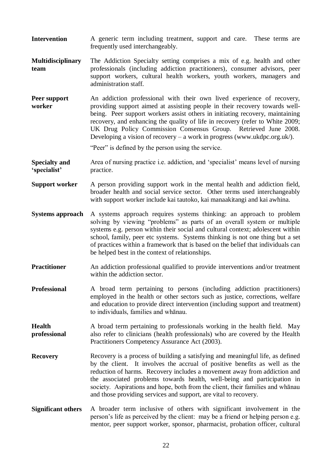- **Intervention** A generic term including treatment, support and care. These terms are frequently used interchangeably.
- **Multidisciplinary team** The Addiction Specialty setting comprises a mix of e.g. health and other professionals (including addiction practitioners), consumer advisors, peer support workers, cultural health workers, youth workers, managers and administration staff.
- **Peer support worker** An addiction professional with their own lived experience of recovery, providing support aimed at assisting people in their recovery towards wellbeing. Peer support workers assist others in initiating recovery, maintaining recovery, and enhancing the quality of life in recovery (refer to White 2009; UK Drug Policy Commission Consensus Group. Retrieved June 2008. Developing a vision of recovery – a work in progress (www.ukdpc.org.uk/).

"Peer" is defined by the person using the service.

**Specialty and 'specialist'** Area of nursing practice i.e. addiction, and 'specialist' means level of nursing practice.

- **Support worker** A person providing support work in the mental health and addiction field, broader health and social service sector. Other terms used interchangeably with support worker include kai tautoko, kai manaakitangi and kai awhina.
- **Systems approach** A systems approach requires systems thinking: an approach to problem solving by viewing "problems" as parts of an overall system or multiple systems e.g. person within their social and cultural context; adolescent within school, family, peer etc systems. Systems thinking is not one thing but a set of practices within a framework that is based on the belief that individuals can be helped best in the context of relationships.
- **Practitioner** An addiction professional qualified to provide interventions and/or treatment within the addiction sector.
- **Professional** A broad term pertaining to persons (including addiction practitioners) employed in the health or other sectors such as justice, corrections, welfare and education to provide direct intervention (including support and treatment) to individuals, families and whānau.
- **Health professional** A broad term pertaining to professionals working in the health field. May also refer to clinicians (health professionals) who are covered by the Health Practitioners Competency Assurance Act (2003).
- **Recovery** Recovery is a process of building a satisfying and meaningful life, as defined by the client. It involves the accrual of positive benefits as well as the reduction of harms. Recovery includes a movement away from addiction and the associated problems towards health, well-being and participation in society. Aspirations and hope, both from the client, their families and whānau and those providing services and support, are vital to recovery.
- **Significant others** A broader term inclusive of others with significant involvement in the person's life as perceived by the client: may be a friend or helping person e.g. mentor, peer support worker, sponsor, pharmacist, probation officer, cultural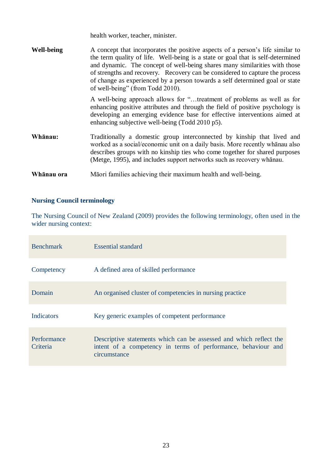health worker, teacher, minister.

| <b>Well-being</b> | A concept that incorporates the positive aspects of a person's life similar to<br>the term quality of life. Well-being is a state or goal that is self-determined<br>and dynamic. The concept of well-being shares many similarities with those<br>of strengths and recovery. Recovery can be considered to capture the process<br>of change as experienced by a person towards a self determined goal or state<br>of well-being" (from Todd 2010). |
|-------------------|-----------------------------------------------------------------------------------------------------------------------------------------------------------------------------------------------------------------------------------------------------------------------------------------------------------------------------------------------------------------------------------------------------------------------------------------------------|
|                   | A well-being approach allows for "treatment of problems as well as for<br>enhancing positive attributes and through the field of positive psychology is<br>developing an emerging evidence base for effective interventions aimed at<br>enhancing subjective well-being (Todd 2010 p5).                                                                                                                                                             |
| Whānau:           | Traditionally a domestic group interconnected by kinship that lived and<br>worked as a social/economic unit on a daily basis. More recently whan also<br>describes groups with no kinship ties who come together for shared purposes<br>(Metge, 1995), and includes support networks such as recovery whanau.                                                                                                                                       |
| Whanau ora        | Māori families achieving their maximum health and well-being.                                                                                                                                                                                                                                                                                                                                                                                       |

#### **Nursing Council terminology**

The Nursing Council of New Zealand (2009) provides the following terminology, often used in the wider nursing context:

| <b>Benchmark</b>        | Essential standard                                                                                                                                  |
|-------------------------|-----------------------------------------------------------------------------------------------------------------------------------------------------|
| Competency              | A defined area of skilled performance                                                                                                               |
| Domain                  | An organised cluster of competencies in nursing practice                                                                                            |
| <b>Indicators</b>       | Key generic examples of competent performance                                                                                                       |
| Performance<br>Criteria | Descriptive statements which can be assessed and which reflect the<br>intent of a competency in terms of performance, behaviour and<br>circumstance |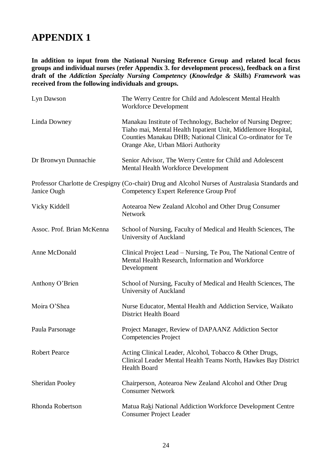### <span id="page-29-0"></span>**APPENDIX 1**

**In addition to input from the National Nursing Reference Group and related local focus groups and individual nurses (refer Appendix 3. for development process), feedback on a first draft of the** *Addiction Specialty Nursing Competency* **(***Knowledge & Skills***)** *Framework* **was received from the following individuals and groups.** 

| Lyn Dawson                 | The Werry Centre for Child and Adolescent Mental Health<br><b>Workforce Development</b>                                                                                                                                           |
|----------------------------|-----------------------------------------------------------------------------------------------------------------------------------------------------------------------------------------------------------------------------------|
| Linda Downey               | Manakau Institute of Technology, Bachelor of Nursing Degree;<br>Tiaho mai, Mental Health Inpatient Unit, Middlemore Hospital,<br>Counties Manakau DHB; National Clinical Co-ordinator for Te<br>Orange Ake, Urban Māori Authority |
| Dr Bronwyn Dunnachie       | Senior Advisor, The Werry Centre for Child and Adolescent<br>Mental Health Workforce Development                                                                                                                                  |
| Janice Ough                | Professor Charlotte de Crespigny (Co-chair) Drug and Alcohol Nurses of Australasia Standards and<br>Competency Expert Reference Group Prof                                                                                        |
| Vicky Kiddell              | Aotearoa New Zealand Alcohol and Other Drug Consumer<br>Network                                                                                                                                                                   |
| Assoc. Prof. Brian McKenna | School of Nursing, Faculty of Medical and Health Sciences, The<br>University of Auckland                                                                                                                                          |
| Anne McDonald              | Clinical Project Lead – Nursing, Te Pou, The National Centre of<br>Mental Health Research, Information and Workforce<br>Development                                                                                               |
| Anthony O'Brien            | School of Nursing, Faculty of Medical and Health Sciences, The<br>University of Auckland                                                                                                                                          |
| Moira O'Shea               | Nurse Educator, Mental Health and Addiction Service, Waikato<br><b>District Health Board</b>                                                                                                                                      |
| Paula Parsonage            | Project Manager, Review of DAPAANZ Addiction Sector<br><b>Competencies Project</b>                                                                                                                                                |
| <b>Robert Pearce</b>       | Acting Clinical Leader, Alcohol, Tobacco & Other Drugs,<br>Clinical Leader Mental Health Teams North, Hawkes Bay District<br><b>Health Board</b>                                                                                  |
| <b>Sheridan Pooley</b>     | Chairperson, Aotearoa New Zealand Alcohol and Other Drug<br><b>Consumer Network</b>                                                                                                                                               |
| Rhonda Robertson           | Matua Raki National Addiction Workforce Development Centre<br><b>Consumer Project Leader</b>                                                                                                                                      |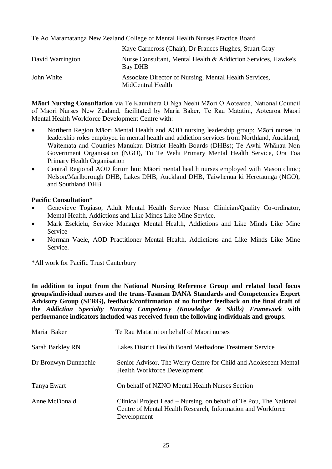Te Ao Maramatanga New Zealand College of Mental Health Nurses Practice Board

|                  | Kaye Carneross (Chair), Dr Frances Hughes, Stuart Gray                      |
|------------------|-----------------------------------------------------------------------------|
| David Warrington | Nurse Consultant, Mental Health & Addiction Services, Hawke's<br>Bay DHB    |
| John White       | Associate Director of Nursing, Mental Health Services,<br>MidCentral Health |

**Māori Nursing Consultation** via Te Kaunihera O Nga Neehi Māori O Aotearoa, National Council of Māori Nurses New Zealand, facilitated by Maria Baker, Te Rau Matatini, Aotearoa Māori Mental Health Workforce Development Centre with:

- Northern Region Māori Mental Health and AOD nursing leadership group: Māori nurses in leadership roles employed in mental health and addiction services from Northland, Auckland, Waitemata and Counties Manukau District Health Boards (DHBs); Te Awhi Whānau Non Government Organisation (NGO), Tu Te Wehi Primary Mental Health Service, Ora Toa Primary Health Organisation
- Central Regional AOD forum hui: Māori mental health nurses employed with Mason clinic; Nelson/Marlborough DHB, Lakes DHB, Auckland DHB, Taiwhenua ki Heretaunga (NGO), and Southland DHB

#### **Pacific Consultation\***

- Genevieve Togiaso, Adult Mental Health Service Nurse Clinician/Quality Co-ordinator, Mental Health, Addictions and Like Minds Like Mine Service.
- Mark Esekielu, Service Manager Mental Health, Addictions and Like Minds Like Mine Service
- Norman Vaele, AOD Practitioner Mental Health, Addictions and Like Minds Like Mine Service.

\*All work for Pacific Trust Canterbury

**In addition to input from the National Nursing Reference Group and related local focus groups/individual nurses and the trans-Tasman DANA Standards and Competencies Expert Advisory Group (SERG), feedback/confirmation of no further feedback on the final draft of the** *Addiction Specialty Nursing Competency (Knowledge & Skills) Framework* **with performance indicators included was received from the following individuals and groups.** 

| Maria Baker          | Te Rau Matatini on behalf of Maori nurses                                                                                                        |
|----------------------|--------------------------------------------------------------------------------------------------------------------------------------------------|
| Sarah Barkley RN     | Lakes District Health Board Methadone Treatment Service                                                                                          |
| Dr Bronwyn Dunnachie | Senior Advisor, The Werry Centre for Child and Adolescent Mental<br><b>Health Workforce Development</b>                                          |
| Tanya Ewart          | On behalf of NZNO Mental Health Nurses Section                                                                                                   |
| Anne McDonald        | Clinical Project Lead – Nursing, on behalf of Te Pou, The National<br>Centre of Mental Health Research, Information and Workforce<br>Development |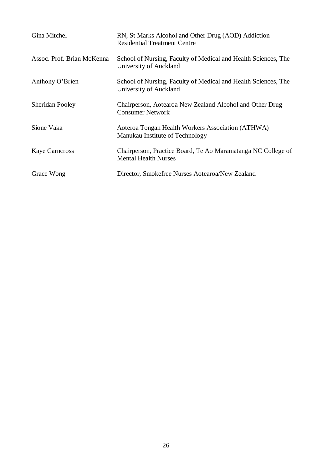| Gina Mitchel               | RN, St Marks Alcohol and Other Drug (AOD) Addiction<br><b>Residential Treatment Centre</b>  |
|----------------------------|---------------------------------------------------------------------------------------------|
| Assoc. Prof. Brian McKenna | School of Nursing, Faculty of Medical and Health Sciences, The<br>University of Auckland    |
| Anthony O'Brien            | School of Nursing, Faculty of Medical and Health Sciences, The<br>University of Auckland    |
| <b>Sheridan Pooley</b>     | Chairperson, Aotearoa New Zealand Alcohol and Other Drug<br><b>Consumer Network</b>         |
| Sione Vaka                 | Aoteroa Tongan Health Workers Association (ATHWA)<br>Manukau Institute of Technology        |
| <b>Kaye Carneross</b>      | Chairperson, Practice Board, Te Ao Maramatanga NC College of<br><b>Mental Health Nurses</b> |
| Grace Wong                 | Director, Smokefree Nurses Aotearoa/New Zealand                                             |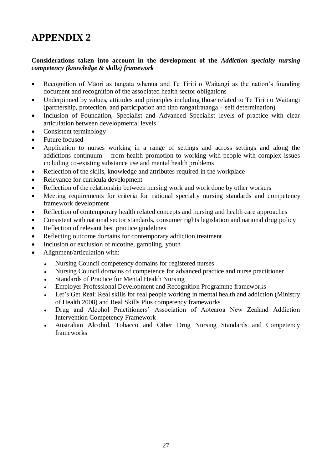## <span id="page-32-0"></span>**APPENDIX 2**

#### **Considerations taken into account in the development of the** *Addiction specialty nursing competency (knowledge & skills) framework*

- Recognition of Māori as tangata whenua and Te Tiriti o Waitangi as the nation's founding document and recognition of the associated health sector obligations
- Underpinned by values, attitudes and principles including those related to Te Tiriti o Waitangi (partnership, protection, and participation and tino rangatiratanga – self determination)
- Inclusion of Foundation, Specialist and Advanced Specialist levels of practice with clear articulation between developmental levels
- Consistent terminology
- Future focused
- Application to nurses working in a range of settings and across settings and along the addictions continuum – from health promotion to working with people with complex issues including co-existing substance use and mental health problems
- Reflection of the skills, knowledge and attributes required in the workplace
- Relevance for curricula development
- Reflection of the relationship between nursing work and work done by other workers
- Meeting requirements for criteria for national specialty nursing standards and competency framework development
- Reflection of contemporary health related concepts and nursing and health care approaches
- Consistent with national sector standards, consumer rights legislation and national drug policy
- Reflection of relevant best practice guidelines
- Reflecting outcome domains for contemporary addiction treatment
- Inclusion or exclusion of nicotine, gambling, youth
- Alignment/articulation with:
	- Nursing Council competency domains for registered nurses
	- Nursing Council domains of competence for advanced practice and nurse practitioner
	- Standards of Practice for Mental Health Nursing
	- Employer Professional Development and Recognition Programme frameworks
	- Let's Get Real: Real skills for real people working in mental health and addiction (Ministry of Health 2008) and Real Skills Plus competency frameworks
	- Drug and Alcohol Practitioners' Association of Aotearoa New Zealand Addiction Intervention Competency Framework
	- Australian Alcohol, Tobacco and Other Drug Nursing Standards and Competency frameworks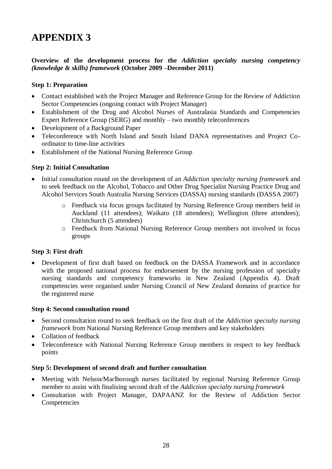## <span id="page-33-0"></span>**APPENDIX 3**

#### **Overview of the development process for the** *Addiction specialty nursing competency (knowledge & skills) framework* **(October 2009 –December 2011)**

#### **Step 1: Preparation**

- Contact established with the Project Manager and Reference Group for the Review of Addiction Sector Competencies (ongoing contact with Project Manager)
- Establishment of the Drug and Alcohol Nurses of Australasia Standards and Competencies Expert Reference Group (SERG) and monthly – two monthly teleconferences
- Development of a Background Paper
- Teleconference with North Island and South Island DANA representatives and Project Coordinator to time-line activities
- Establishment of the National Nursing Reference Group

#### **Step 2: Initial Consultation**

- Initial consultation round on the development of an *Addiction specialty nursing framework* and to seek feedback on the Alcohol, Tobacco and Other Drug Specialist Nursing Practice Drug and Alcohol Services South Australia Nursing Services (DASSA) nursing standards (DASSA 2007)
	- o Feedback via focus groups facilitated by Nursing Reference Group members held in Auckland (11 attendees); Waikato (18 attendees); Wellington (three attendees); Christchurch (5 attendees)
	- o Feedback from National Nursing Reference Group members not involved in focus groups

#### **Step 3: First draft**

 Development of first draft based on feedback on the DASSA Framework and in accordance with the proposed national process for endorsement by the nursing profession of specialty nursing standards and competency frameworks in New Zealand (Appendix 4). Draft competencies were organised under Nursing Council of New Zealand domains of practice for the registered nurse

#### **Step 4: Second consultation round**

- Second consultation round to seek feedback on the first draft of the *Addiction specialty nursing framework* from National Nursing Reference Group members and key stakeholders
- Collation of feedback
- Teleconference with National Nursing Reference Group members in respect to key feedback points

#### **Step 5: Development of second draft and further consultation**

- Meeting with Nelson/Marlborough nurses facilitated by regional Nursing Reference Group member to assist with finalising second draft of the *Addiction specialty nursing framework*
- Consultation with Project Manager, DAPAANZ for the Review of Addiction Sector Competencies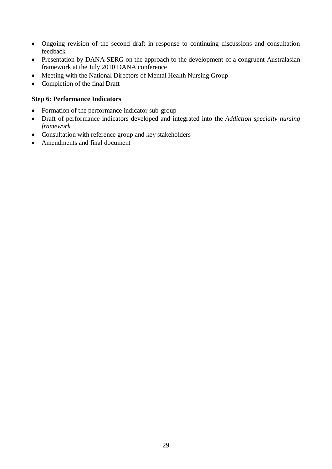- Ongoing revision of the second draft in response to continuing discussions and consultation feedback
- Presentation by DANA SERG on the approach to the development of a congruent Australasian framework at the July 2010 DANA conference
- Meeting with the National Directors of Mental Health Nursing Group
- Completion of the final Draft

#### **Step 6: Performance Indicators**

- Formation of the performance indicator sub-group
- Draft of performance indicators developed and integrated into the *Addiction specialty nursing framework*
- Consultation with reference group and key stakeholders
- Amendments and final document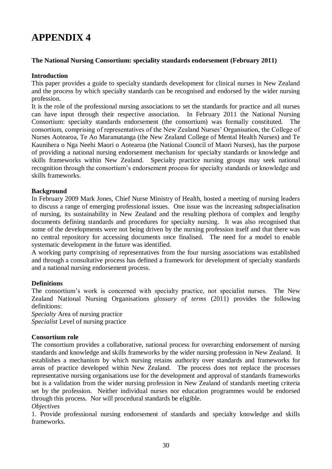## <span id="page-35-0"></span>**APPENDIX 4**

#### **The National Nursing Consortium: speciality standards endorsement (February 2011)**

#### **Introduction**

This paper provides a guide to specialty standards development for clinical nurses in New Zealand and the process by which specialty standards can be recognised and endorsed by the wider nursing profession.

It is the role of the professional nursing associations to set the standards for practice and all nurses can have input through their respective association. In February 2011 the National Nursing Consortium: specialty standards endorsement (the consortium) was formally constituted. The consortium, comprising of representatives of the New Zealand Nurses' Organisation, the College of Nurses Aotearoa, Te Ao Maramatanga (the New Zealand College of Mental Health Nurses) and Te Kaunihera o Nga Neehi Maori o Aotearoa (the National Council of Maori Nurses), has the purpose of providing a national nursing endorsement mechanism for specialty standards or knowledge and skills frameworks within New Zealand. Specialty practice nursing groups may seek national recognition through the consortium's endorsement process for specialty standards or knowledge and skills frameworks.

#### **Background**

In February 2009 Mark Jones, Chief Nurse Ministry of Health, hosted a meeting of nursing leaders to discuss a range of emerging professional issues. One issue was the increasing subspecialisation of nursing, its sustainability in New Zealand and the resulting plethora of complex and lengthy documents defining standards and procedures for specialty nursing. It was also recognised that some of the developments were not being driven by the nursing profession itself and that there was no central repository for accessing documents once finalised. The need for a model to enable systematic development in the future was identified.

A working party comprising of representatives from the four nursing associations was established and through a consultative process has defined a framework for development of specialty standards and a national nursing endorsement process.

#### **Definitions**

The consortium's work is concerned with specialty practice, not specialist nurses. The New Zealand National Nursing Organisations *glossary of terms* (2011) provides the following definitions:

*Specialty* Area of nursing practice *Specialist* Level of nursing practice

#### **Consortium role**

The consortium provides a collaborative, national process for overarching endorsement of nursing standards and knowledge and skills frameworks by the wider nursing profession in New Zealand. It establishes a mechanism by which nursing retains authority over standards and frameworks for areas of practice developed within New Zealand. The process does not replace the processes representative nursing organisations use for the development and approval of standards frameworks but is a validation from the wider nursing profession in New Zealand of standards meeting criteria set by the profession. Neither individual nurses nor education programmes would be endorsed through this process. Nor will procedural standards be eligible. *Objectives* 

1. Provide professional nursing endorsement of standards and specialty knowledge and skills frameworks.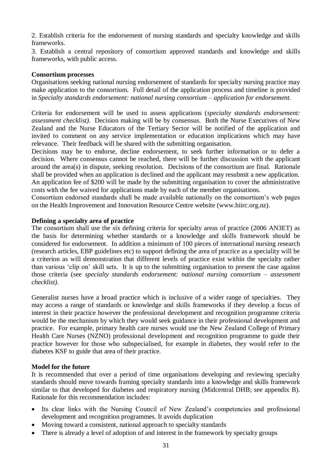2. Establish criteria for the endorsement of nursing standards and specialty knowledge and skills frameworks.

3. Establish a central repository of consortium approved standards and knowledge and skills frameworks, with public access.

#### **Consortium processes**

Organisations seeking national nursing endorsement of standards for specialty nursing practice may make application to the consortium. Full detail of the application process and timeline is provided in *Specialty standards endorsement: national nursing consortium – application for endorsement.* 

Criteria for endorsement will be used to assess applications (*specialty standards endorsement: assessment checklist).* Decision making will be by consensus. Both the Nurse Executives of New Zealand and the Nurse Educators of the Tertiary Sector will be notified of the application and invited to comment on any service implementation or education implications which may have relevance. Their feedback will be shared with the submitting organisation.

Decisions may be to endorse, decline endorsement, to seek further information or to defer a decision. Where consensus cannot be reached, there will be further discussion with the applicant around the area(s) in dispute, seeking resolution. Decisions of the consortium are final. Rationale shall be provided when an application is declined and the applicant may resubmit a new application. An application fee of \$200 will be made by the submitting organisation to cover the administrative costs with the fee waived for applications made by each of the member organisations.

Consortium endorsed standards shall be made available nationally on the consortium's web pages on the Health Improvement and Innovation Resource Centre website (www.hiirc.org.nz).

#### **Defining a specialty area of practice**

The consortium shall use the six defining criteria for specialty areas of practice (2006 AN3ET) as the basis for determining whether standards or a knowledge and skills framework should be considered for endorsement. In addition a minimum of 100 pieces of international nursing research (research articles, EBP guidelines etc) to support defining the area of practice as a speciality will be a criterion as will demonstration that different levels of practice exist within the specialty rather than various 'clip on' skill sets. It is up to the submitting organisation to present the case against those criteria (see *specialty standards endorsement: national nursing consortium – assessment checklist).* 

Generalist nurses have a broad practice which is inclusive of a wider range of specialties. They may access a range of standards or knowledge and skills frameworks if they develop a focus of interest in their practice however the professional development and recognition programme criteria would be the mechanism by which they would seek guidance in their professional development and practice. For example, primary health care nurses would use the New Zealand College of Primary Health Care Nurses (NZNO) professional development and recognition programme to guide their practice however for those who subspecialised, for example in diabetes, they would refer to the diabetes KSF to guide that area of their practice.

#### **Model for the future**

It is recommended that over a period of time organisations developing and reviewing specialty standards should move towards framing specialty standards into a knowledge and skills framework similar to that developed for diabetes and respiratory nursing (Midcentral DHB; see appendix B). Rationale for this recommendation includes:

- Its clear links with the Nursing Council of New Zealand's competencies and professional development and recognition programmes. It avoids duplication
- Moving toward a consistent, national approach to specialty standards
- There is already a level of adoption of and interest in the framework by specialty groups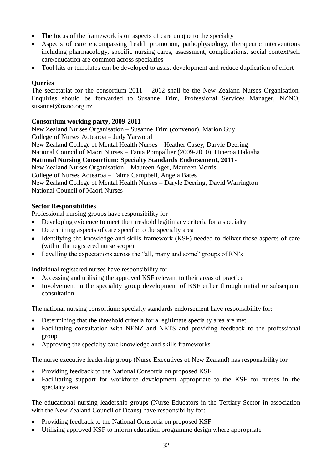- The focus of the framework is on aspects of care unique to the specialty
- Aspects of care encompassing health promotion, pathophysiology, therapeutic interventions including pharmacology, specific nursing cares, assessment, complications, social context/self care/education are common across specialties
- Tool kits or templates can be developed to assist development and reduce duplication of effort

#### **Queries**

The secretariat for the consortium 2011 – 2012 shall be the New Zealand Nurses Organisation. Enquiries should be forwarded to Susanne Trim, Professional Services Manager, NZNO, susannet@nzno.org.nz

#### **Consortium working party, 2009-2011**

New Zealand Nurses Organisation – Susanne Trim (convenor), Marion Guy College of Nurses Aotearoa – Judy Yarwood New Zealand College of Mental Health Nurses – Heather Casey, Daryle Deering National Council of Maori Nurses – Tania Pompallier (2009-2010), Hineroa Hakiaha **National Nursing Consortium: Specialty Standards Endorsement, 2011-** New Zealand Nurses Organisation – Maureen Ager, Maureen Morris College of Nurses Aotearoa – Taima Campbell, Angela Bates New Zealand College of Mental Health Nurses – Daryle Deering, David Warrington National Council of Maori Nurses

#### **Sector Responsibilities**

Professional nursing groups have responsibility for

- Developing evidence to meet the threshold legitimacy criteria for a specialty
- Determining aspects of care specific to the specialty area
- Identifying the knowledge and skills framework (KSF) needed to deliver those aspects of care (within the registered nurse scope)
- Levelling the expectations across the "all, many and some" groups of RN's

Individual registered nurses have responsibility for

- Accessing and utilising the approved KSF relevant to their areas of practice
- Involvement in the speciality group development of KSF either through initial or subsequent consultation

The national nursing consortium: specialty standards endorsement have responsibility for:

- Determining that the threshold criteria for a legitimate specialty area are met
- Facilitating consultation with NENZ and NETS and providing feedback to the professional group
- Approving the specialty care knowledge and skills frameworks

The nurse executive leadership group (Nurse Executives of New Zealand) has responsibility for:

- Providing feedback to the National Consortia on proposed KSF
- Facilitating support for workforce development appropriate to the KSF for nurses in the specialty area

The educational nursing leadership groups (Nurse Educators in the Tertiary Sector in association with the New Zealand Council of Deans) have responsibility for:

- Providing feedback to the National Consortia on proposed KSF
- Utilising approved KSF to inform education programme design where appropriate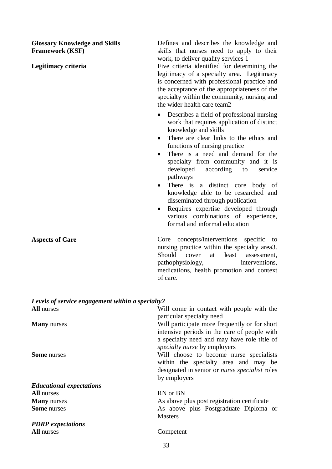**Glossary Knowledge and Skills Framework (KSF)** 

Defines and describes the knowledge and skills that nurses need to apply to their work, to deliver quality services 1 **Legitimacy criteria** Five criteria identified for determining the legitimacy of a specialty area. Legitimacy is concerned with professional practice and the acceptance of the appropriateness of the specialty within the community, nursing and

> Describes a field of professional nursing work that requires application of distinct knowledge and skills

the wider health care team2

- There are clear links to the ethics and functions of nursing practice
- There is a need and demand for the specialty from community and it is developed according to service pathways
- There is a distinct core body of knowledge able to be researched and disseminated through publication
- Requires expertise developed through various combinations of experience, formal and informal education

Aspects of Care **Core** Core concepts/interventions specific to nursing practice within the specialty area3. Should cover at least assessment, pathophysiology, interventions, medications, health promotion and context of care.

| Levels of service engagement within a specialty $2$ |                                                       |
|-----------------------------------------------------|-------------------------------------------------------|
| <b>All</b> nurses                                   | Will come in contact with people with the             |
|                                                     | particular specialty need                             |
| <b>Many</b> nurses                                  | Will participate more frequently or for short         |
|                                                     | intensive periods in the care of people with          |
|                                                     | a specialty need and may have role title of           |
|                                                     | <i>specialty nurse</i> by employers                   |
| <b>Some</b> nurses                                  | Will choose to become nurse specialists               |
|                                                     | within the specialty area and may be                  |
|                                                     | designated in senior or <i>nurse specialist</i> roles |
|                                                     | by employers                                          |
| <b>Educational expectations</b>                     |                                                       |
| <b>All</b> nurses                                   | RN or BN                                              |
| <b>Many</b> nurses                                  | As above plus post registration certificate           |
| <b>Some</b> nurses                                  | As above plus Postgraduate Diploma or                 |
|                                                     | <b>Masters</b>                                        |
| <b>PDRP</b> expectations                            |                                                       |
| All nurses                                          | Competent                                             |
|                                                     |                                                       |